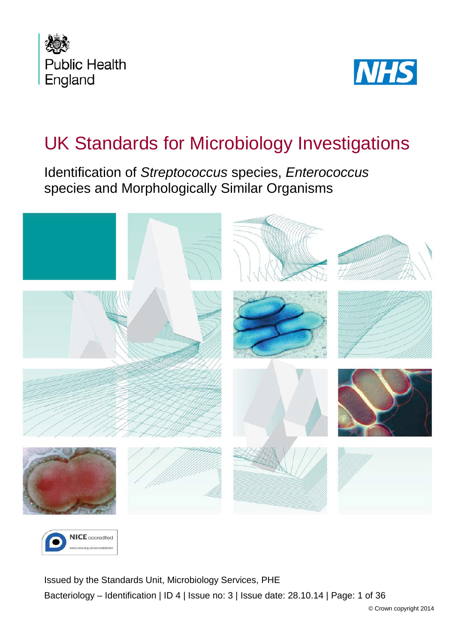



# UK Standards for Microbiology Investigations

Identification of *Streptococcus* species, *Enterococcus* species and Morphologically Similar Organisms





<span id="page-0-0"></span>Issued by the Standards Unit, Microbiology Services, PHE Bacteriology – Identification | ID 4 | Issue no: 3 | Issue date: 28.10.14 | Page: 1 of 36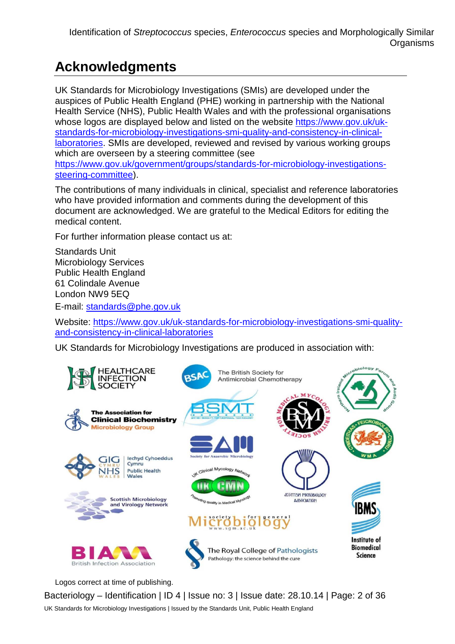# **Acknowledgments**

UK Standards for Microbiology Investigations (SMIs) are developed under the auspices of Public Health England (PHE) working in partnership with the National Health Service (NHS), Public Health Wales and with the professional organisations whose logos are displayed below and listed on the website [https://www.gov.uk/uk](https://www.gov.uk/uk-standards-for-microbiology-investigations-smi-quality-and-consistency-in-clinical-laboratories)[standards-for-microbiology-investigations-smi-quality-and-consistency-in-clinical](https://www.gov.uk/uk-standards-for-microbiology-investigations-smi-quality-and-consistency-in-clinical-laboratories)[laboratories.](https://www.gov.uk/uk-standards-for-microbiology-investigations-smi-quality-and-consistency-in-clinical-laboratories) SMIs are developed, reviewed and revised by various working groups which are overseen by a steering committee (see [https://www.gov.uk/government/groups/standards-for-microbiology-investigations](https://www.gov.uk/government/groups/standards-for-microbiology-investigations-steering-committee)[steering-committee\)](https://www.gov.uk/government/groups/standards-for-microbiology-investigations-steering-committee).

The contributions of many individuals in clinical, specialist and reference laboratories who have provided information and comments during the development of this document are acknowledged. We are grateful to the Medical Editors for editing the medical content.

For further information please contact us at:

Standards Unit Microbiology Services Public Health England 61 Colindale Avenue London NW9 5EQ

E-mail: [standards@phe.gov.uk](mailto:standards@phe.gov.uk)

Website: [https://www.gov.uk/uk-standards-for-microbiology-investigations-smi-quality](https://www.gov.uk/uk-standards-for-microbiology-investigations-smi-quality-and-consistency-in-clinical-laboratories)[and-consistency-in-clinical-laboratories](https://www.gov.uk/uk-standards-for-microbiology-investigations-smi-quality-and-consistency-in-clinical-laboratories)

UK Standards for Microbiology Investigations are produced in association with:



Logos correct at time of publishing.

Bacteriology – Identification | ID 4 | Issue no: 3 | Issue date: 28.10.14 | Page: 2 of 36 UK Standards for Microbiology Investigations | Issued by the Standards Unit, Public Health England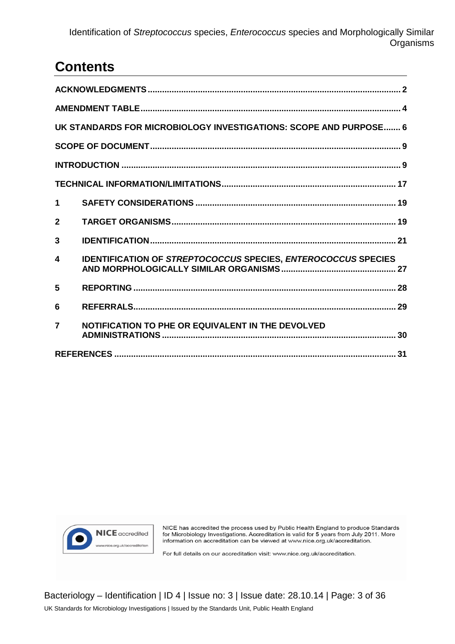## **Contents**

|                | UK STANDARDS FOR MICROBIOLOGY INVESTIGATIONS: SCOPE AND PURPOSE 6 |  |  |  |  |  |
|----------------|-------------------------------------------------------------------|--|--|--|--|--|
|                |                                                                   |  |  |  |  |  |
|                |                                                                   |  |  |  |  |  |
|                |                                                                   |  |  |  |  |  |
| $\mathbf 1$    |                                                                   |  |  |  |  |  |
| $\mathbf{2}$   |                                                                   |  |  |  |  |  |
| 3              |                                                                   |  |  |  |  |  |
| 4              | IDENTIFICATION OF STREPTOCOCCUS SPECIES, ENTEROCOCCUS SPECIES     |  |  |  |  |  |
| 5              |                                                                   |  |  |  |  |  |
| 6              |                                                                   |  |  |  |  |  |
| $\overline{7}$ | NOTIFICATION TO PHE OR EQUIVALENT IN THE DEVOLVED                 |  |  |  |  |  |
|                |                                                                   |  |  |  |  |  |



NICE has accredited the process used by Public Health England to produce Standards for Microbiology Investigations. Accreditation is valid for 5 years from July 2011. More information on accreditation can be viewed at www.nice.org.uk/accreditation.

For full details on our accreditation visit: www.nice.org.uk/accreditation.

Bacteriology – Identification | ID 4 | Issue no: 3 | Issue date: 28.10.14 | Page: 3 of 36 UK Standards for Microbiology Investigations | Issued by the Standards Unit, Public Health England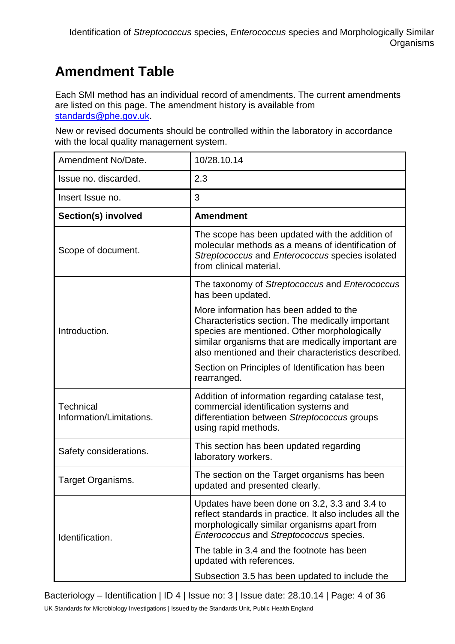# **Amendment Table**

Each SMI method has an individual record of amendments. The current amendments are listed on this page. The amendment history is available from [standards@phe.gov.uk.](mailto:standards@phe.gov.uk)

New or revised documents should be controlled within the laboratory in accordance with the local quality management system.

| Amendment No/Date.                    | 10/28.10.14                                                                                                                                                                                                                                             |  |  |  |
|---------------------------------------|---------------------------------------------------------------------------------------------------------------------------------------------------------------------------------------------------------------------------------------------------------|--|--|--|
| Issue no. discarded.                  | 2.3                                                                                                                                                                                                                                                     |  |  |  |
| Insert Issue no.                      | 3                                                                                                                                                                                                                                                       |  |  |  |
| Section(s) involved                   | <b>Amendment</b>                                                                                                                                                                                                                                        |  |  |  |
| Scope of document.                    | The scope has been updated with the addition of<br>molecular methods as a means of identification of<br>Streptococcus and Enterococcus species isolated<br>from clinical material.                                                                      |  |  |  |
|                                       | The taxonomy of Streptococcus and Enterococcus<br>has been updated.                                                                                                                                                                                     |  |  |  |
| Introduction.                         | More information has been added to the<br>Characteristics section. The medically important<br>species are mentioned. Other morphologically<br>similar organisms that are medically important are<br>also mentioned and their characteristics described. |  |  |  |
|                                       | Section on Principles of Identification has been<br>rearranged.                                                                                                                                                                                         |  |  |  |
| Technical<br>Information/Limitations. | Addition of information regarding catalase test,<br>commercial identification systems and<br>differentiation between Streptococcus groups<br>using rapid methods.                                                                                       |  |  |  |
| Safety considerations.                | This section has been updated regarding<br>laboratory workers.                                                                                                                                                                                          |  |  |  |
| Target Organisms.                     | The section on the Target organisms has been<br>updated and presented clearly.                                                                                                                                                                          |  |  |  |
| Identification.                       | Updates have been done on 3.2, 3.3 and 3.4 to<br>reflect standards in practice. It also includes all the<br>morphologically similar organisms apart from<br>Enterococcus and Streptococcus species.                                                     |  |  |  |
|                                       | The table in 3.4 and the footnote has been<br>updated with references.                                                                                                                                                                                  |  |  |  |
|                                       | Subsection 3.5 has been updated to include the                                                                                                                                                                                                          |  |  |  |

Bacteriology – Identification | ID 4 | Issue no: 3 | Issue date: 28.10.14 | Page: 4 of 36

UK Standards for Microbiology Investigations | Issued by the Standards Unit, Public Health England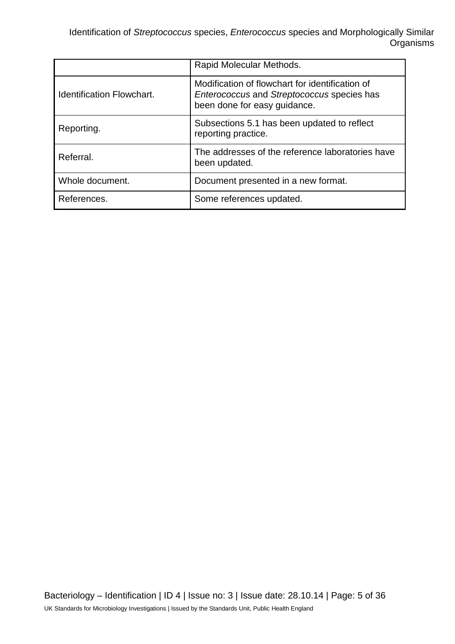|                                  | Rapid Molecular Methods.                                                                                                      |  |  |
|----------------------------------|-------------------------------------------------------------------------------------------------------------------------------|--|--|
| <b>Identification Flowchart.</b> | Modification of flowchart for identification of<br>Enterococcus and Streptococcus species has<br>been done for easy guidance. |  |  |
| Reporting.                       | Subsections 5.1 has been updated to reflect<br>reporting practice.                                                            |  |  |
| Referral.                        | The addresses of the reference laboratories have<br>been updated.                                                             |  |  |
| Whole document.                  | Document presented in a new format.                                                                                           |  |  |
| References.                      | Some references updated.                                                                                                      |  |  |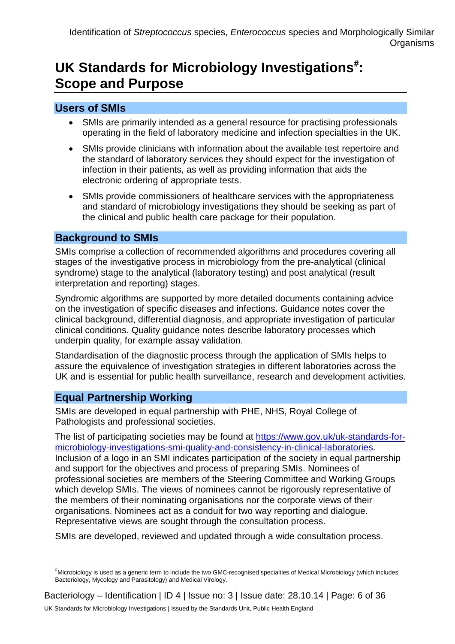# UK Standards for Microbiology Investigations<sup>[#](#page-0-0)</sup>: **Scope and Purpose**

## **Users of SMIs**

- SMIs are primarily intended as a general resource for practising professionals operating in the field of laboratory medicine and infection specialties in the UK.
- SMIs provide clinicians with information about the available test repertoire and the standard of laboratory services they should expect for the investigation of infection in their patients, as well as providing information that aids the electronic ordering of appropriate tests.
- SMIs provide commissioners of healthcare services with the appropriateness and standard of microbiology investigations they should be seeking as part of the clinical and public health care package for their population.

## **Background to SMIs**

SMIs comprise a collection of recommended algorithms and procedures covering all stages of the investigative process in microbiology from the pre-analytical (clinical syndrome) stage to the analytical (laboratory testing) and post analytical (result interpretation and reporting) stages.

Syndromic algorithms are supported by more detailed documents containing advice on the investigation of specific diseases and infections. Guidance notes cover the clinical background, differential diagnosis, and appropriate investigation of particular clinical conditions. Quality guidance notes describe laboratory processes which underpin quality, for example assay validation.

Standardisation of the diagnostic process through the application of SMIs helps to assure the equivalence of investigation strategies in different laboratories across the UK and is essential for public health surveillance, research and development activities.

## **Equal Partnership Working**

 $\overline{a}$ 

SMIs are developed in equal partnership with PHE, NHS, Royal College of Pathologists and professional societies.

The list of participating societies may be found at [https://www.gov.uk/uk-standards-for](https://www.gov.uk/uk-standards-for-microbiology-investigations-smi-quality-and-consistency-in-clinical-laboratories)[microbiology-investigations-smi-quality-and-consistency-in-clinical-laboratories.](https://www.gov.uk/uk-standards-for-microbiology-investigations-smi-quality-and-consistency-in-clinical-laboratories) Inclusion of a logo in an SMI indicates participation of the society in equal partnership and support for the objectives and process of preparing SMIs. Nominees of professional societies are members of the Steering Committee and Working Groups which develop SMIs. The views of nominees cannot be rigorously representative of the members of their nominating organisations nor the corporate views of their organisations. Nominees act as a conduit for two way reporting and dialogue. Representative views are sought through the consultation process.

SMIs are developed, reviewed and updated through a wide consultation process.

<sup>#</sup> Microbiology is used as a generic term to include the two GMC-recognised specialties of Medical Microbiology (which includes Bacteriology, Mycology and Parasitology) and Medical Virology.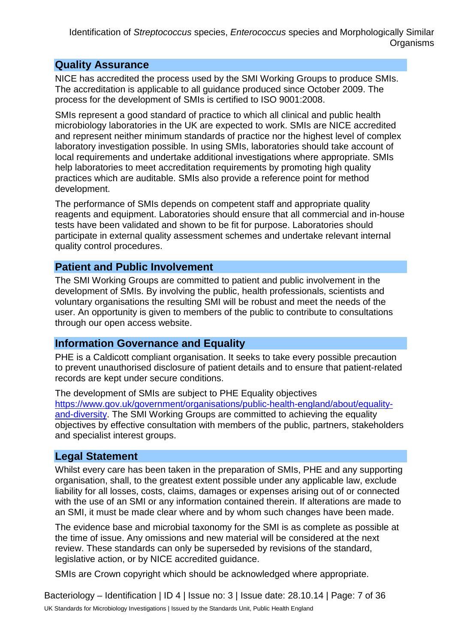## **Quality Assurance**

NICE has accredited the process used by the SMI Working Groups to produce SMIs. The accreditation is applicable to all guidance produced since October 2009. The process for the development of SMIs is certified to ISO 9001:2008.

SMIs represent a good standard of practice to which all clinical and public health microbiology laboratories in the UK are expected to work. SMIs are NICE accredited and represent neither minimum standards of practice nor the highest level of complex laboratory investigation possible. In using SMIs, laboratories should take account of local requirements and undertake additional investigations where appropriate. SMIs help laboratories to meet accreditation requirements by promoting high quality practices which are auditable. SMIs also provide a reference point for method development.

The performance of SMIs depends on competent staff and appropriate quality reagents and equipment. Laboratories should ensure that all commercial and in-house tests have been validated and shown to be fit for purpose. Laboratories should participate in external quality assessment schemes and undertake relevant internal quality control procedures.

## **Patient and Public Involvement**

The SMI Working Groups are committed to patient and public involvement in the development of SMIs. By involving the public, health professionals, scientists and voluntary organisations the resulting SMI will be robust and meet the needs of the user. An opportunity is given to members of the public to contribute to consultations through our open access website.

## **Information Governance and Equality**

PHE is a Caldicott compliant organisation. It seeks to take every possible precaution to prevent unauthorised disclosure of patient details and to ensure that patient-related records are kept under secure conditions.

The development of SMIs are subject to PHE Equality objectives [https://www.gov.uk/government/organisations/public-health-england/about/equality](https://www.gov.uk/government/organisations/public-health-england/about/equality-and-diversity)[and-diversity.](https://www.gov.uk/government/organisations/public-health-england/about/equality-and-diversity) The SMI Working Groups are committed to achieving the equality objectives by effective consultation with members of the public, partners, stakeholders and specialist interest groups.

## **Legal Statement**

Whilst every care has been taken in the preparation of SMIs, PHE and any supporting organisation, shall, to the greatest extent possible under any applicable law, exclude liability for all losses, costs, claims, damages or expenses arising out of or connected with the use of an SMI or any information contained therein. If alterations are made to an SMI, it must be made clear where and by whom such changes have been made.

The evidence base and microbial taxonomy for the SMI is as complete as possible at the time of issue. Any omissions and new material will be considered at the next review. These standards can only be superseded by revisions of the standard, legislative action, or by NICE accredited guidance.

SMIs are Crown copyright which should be acknowledged where appropriate.

Bacteriology – Identification | ID 4 | Issue no: 3 | Issue date: 28.10.14 | Page: 7 of 36 UK Standards for Microbiology Investigations | Issued by the Standards Unit, Public Health England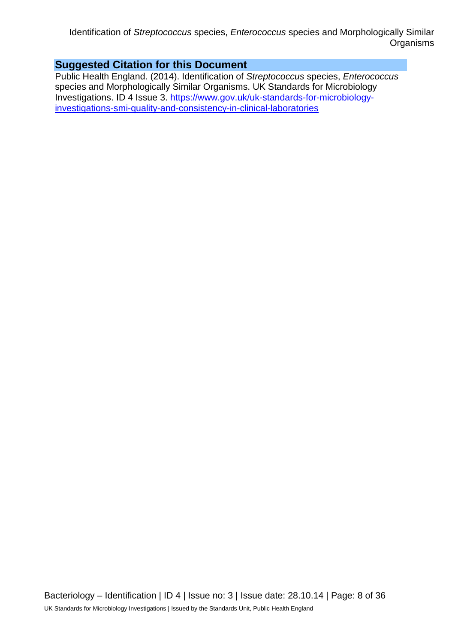## **Suggested Citation for this Document**

Public Health England. (2014). Identification of *Streptococcus* species, *Enterococcus* species and Morphologically Similar Organisms. UK Standards for Microbiology Investigations. ID 4 Issue 3. [https://www.gov.uk/uk-standards-for-microbiology](https://www.gov.uk/uk-standards-for-microbiology-investigations-smi-quality-and-consistency-in-clinical-laboratories)[investigations-smi-quality-and-consistency-in-clinical-laboratories](https://www.gov.uk/uk-standards-for-microbiology-investigations-smi-quality-and-consistency-in-clinical-laboratories)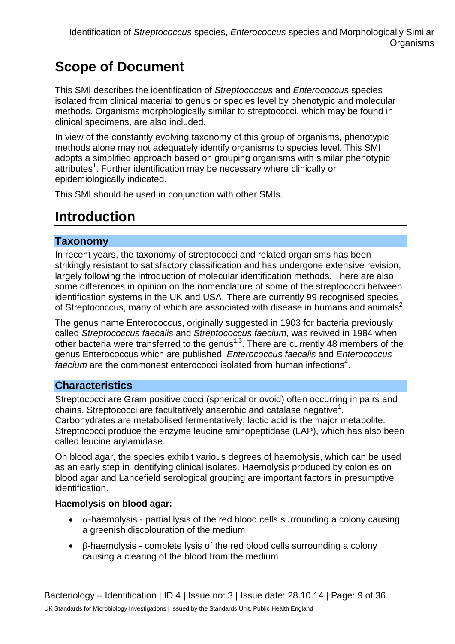# **Scope of Document**

This SMI describes the identification of *Streptococcus* and *Enterococcus* species isolated from clinical material to genus or species level by phenotypic and molecular methods. Organisms morphologically similar to streptococci, which may be found in clinical specimens, are also included.

In view of the constantly evolving taxonomy of this group of organisms, phenotypic methods alone may not adequately identify organisms to species level. This SMI adopts a simplified approach based on grouping organisms with similar phenotypic attributes<sup>1</sup>. Further identification may be necessary where clinically or epidemiologically indicated.

This SMI should be used in conjunction with other SMIs.

## **Introduction**

## **Taxonomy**

In recent years, the taxonomy of streptococci and related organisms has been strikingly resistant to satisfactory classification and has undergone extensive revision, largely following the introduction of molecular identification methods. There are also some differences in opinion on the nomenclature of some of the streptococci between identification systems in the UK and USA. There are currently 99 recognised species of Streptococcus, many of which are associated with disease in humans and animals<sup>2</sup>.

The genus name Enterococcus, originally suggested in 1903 for bacteria previously called *Streptococcus faecalis* and *Streptococcus faecium*, was revived in 1984 when other bacteria were transferred to the genus<sup> $1,3$ </sup>. There are currently 48 members of the genus Enterococcus which are published. *Enterococcus faecalis* and *Enterococcus*  faecium are the commonest enterococci isolated from human infections<sup>4</sup>.

## **Characteristics**

Streptococci are Gram positive cocci (spherical or ovoid) often occurring in pairs and chains. Streptococci are facultatively anaerobic and catalase negative<sup>1</sup>. Carbohydrates are metabolised fermentatively; lactic acid is the major metabolite. Streptococci produce the enzyme leucine aminopeptidase (LAP), which has also been called leucine arylamidase.

On blood agar, the species exhibit various degrees of haemolysis, which can be used as an early step in identifying clinical isolates. Haemolysis produced by colonies on blood agar and Lancefield serological grouping are important factors in presumptive identification.

## **Haemolysis on blood agar:**

- $\bullet$   $\alpha$ -haemolysis partial lysis of the red blood cells surrounding a colony causing a greenish discolouration of the medium
- β-haemolysis complete lysis of the red blood cells surrounding a colony causing a clearing of the blood from the medium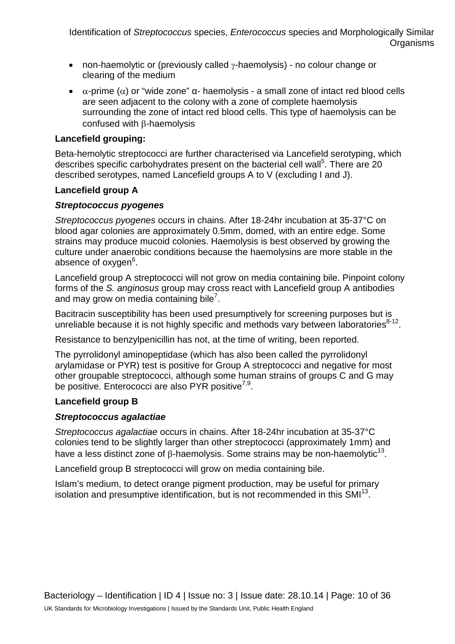- non-haemolytic or (previously called γ-haemolysis) no colour change or clearing of the medium
- $\alpha$ -prime ( $\alpha$ ) or "wide zone"  $\alpha$  haemolysis a small zone of intact red blood cells are seen adjacent to the colony with a zone of complete haemolysis surrounding the zone of intact red blood cells. This type of haemolysis can be confused with β-haemolysis

#### **Lancefield grouping:**

Beta-hemolytic streptococci are further characterised via [Lancefield](http://en.wikipedia.org/wiki/Rebecca_Lancefield) [serotyping,](http://en.wikipedia.org/wiki/Serovar) which describes specific carbohydrates present on the bacterial cell wall<sup>5</sup>. There are 20 described serotypes, named Lancefield groups A to V (excluding I and J).

#### **Lancefield group A**

#### *Streptococcus pyogenes*

*Streptococcus pyogenes* occurs in chains. After 18-24hr incubation at 35-37°C on blood agar colonies are approximately 0.5mm, domed, with an entire edge. Some strains may produce mucoid colonies. Haemolysis is best observed by growing the culture under anaerobic conditions because the haemolysins are more stable in the absence of oxygen<sup>6</sup>.

Lancefield group A streptococci will not grow on media containing bile. Pinpoint colony forms of the *S. anginosus* group may cross react with Lancefield group A antibodies and may grow on media containing bile<sup>7</sup>.

Bacitracin susceptibility has been used presumptively for screening purposes but is unreliable because it is not highly specific and methods vary between laboratories<sup>8-12</sup>.

Resistance to benzylpenicillin has not, at the time of writing, been reported.

The pyrrolidonyl aminopeptidase (which has also been called the pyrrolidonyl arylamidase or PYR) test is positive for Group A streptococci and negative for most other groupable streptococci, although some human strains of groups C and G may be positive. Enterococci are also PYR positive<sup>7,9</sup>.

## **Lancefield group B**

#### *Streptococcus agalactiae*

*Streptococcus agalactiae* occurs in chains. After 18-24hr incubation at 35-37°C colonies tend to be slightly larger than other streptococci (approximately 1mm) and have a less distinct zone of  $\beta$ -haemolysis. Some strains may be non-haemolytic<sup>13</sup>.

Lancefield group B streptococci will grow on media containing bile.

Islam's medium, to detect orange pigment production, may be useful for primary isolation and presumptive identification, but is not recommended in this  $SMI^{13}$ .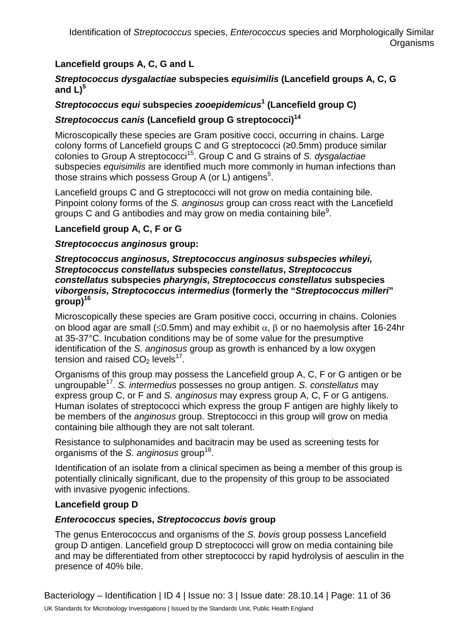## **Lancefield groups A, C, G and L**

#### *Streptococcus dysgalactiae* **subspecies** *equisimilis* **(Lancefield groups A, C, G** and  $L$ <sup>5</sup>

## *Streptococcus equi* **subspecies** *zooepidemicus***<sup>1</sup> (Lancefield group C)**

## *Streptococcus canis* **(Lancefield group G streptococci)14**

Microscopically these species are Gram positive cocci, occurring in chains. Large colony forms of Lancefield groups C and G streptococci (≥0.5mm) produce similar colonies to Group A streptococci15. Group C and G strains of *S. dysgalactiae*  subspecies *equisimilis* are identified much more commonly in human infections than those strains which possess Group A (or L) antigens<sup>5</sup>.

Lancefield groups C and G streptococci will not grow on media containing bile. Pinpoint colony forms of the *S. anginosus* group can cross react with the Lancefield groups C and G antibodies and may grow on media containing bile<sup>9</sup>.

## **Lancefield group A, C, F or G**

## *Streptococcus anginosus* **group:**

#### *Streptococcus anginosus, Streptococcus anginosus subspecies whileyi, Streptococcus constellatus* **subspecies** *constellatus***,** *Streptococcus constellatus* **subspecies** *pharyngis, Streptococcus constellatus* **subspecies**  *viborgensis, Streptococcus intermedius* **(formerly the "***Streptococcus milleri***"**  group<sup>16</sup>

Microscopically these species are Gram positive cocci, occurring in chains. Colonies on blood agar are small ( $\leq 0.5$ mm) and may exhibit  $\alpha$ ,  $\beta$  or no haemolysis after 16-24hr at 35-37°C. Incubation conditions may be of some value for the presumptive identification of the *S. anginosus* group as growth is enhanced by a low oxygen tension and raised  $CO<sub>2</sub>$  levels<sup>17</sup>.

Organisms of this group may possess the Lancefield group A, C, F or G antigen or be ungroupable17. *S. intermedius* possesses no group antigen. *S. constellatus* may express group C, or F and *S. anginosus* may express group A, C, F or G antigens. Human isolates of streptococci which express the group F antigen are highly likely to be members of the *anginosus* group. Streptococci in this group will grow on media containing bile although they are not salt tolerant.

Resistance to sulphonamides and bacitracin may be used as screening tests for organisms of the *S. anginosus* group18.

Identification of an isolate from a clinical specimen as being a member of this group is potentially clinically significant, due to the propensity of this group to be associated with invasive pyogenic infections.

## **Lancefield group D**

## *Enterococcus* **species,** *Streptococcus bovis* **group**

The genus Enterococcus and organisms of the *S. bovis* group possess Lancefield group D antigen. Lancefield group D streptococci will grow on media containing bile and may be differentiated from other streptococci by rapid hydrolysis of aesculin in the presence of 40% bile.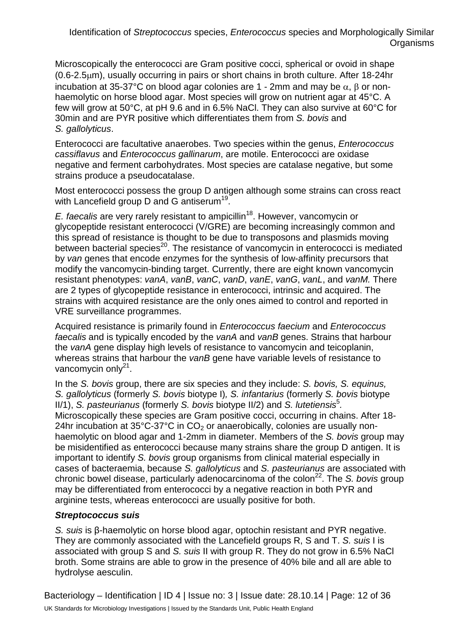Microscopically the enterococci are Gram positive cocci, spherical or ovoid in shape (0.6-2.5µm), usually occurring in pairs or short chains in broth culture. After 18-24hr incubation at 35-37°C on blood agar colonies are 1 - 2mm and may be α, β or nonhaemolytic on horse blood agar. Most species will grow on nutrient agar at 45°C. A few will grow at 50°C, at pH 9.6 and in 6.5% NaCl. They can also survive at 60°C for 30min and are PYR positive which differentiates them from *S. bovis* and *S. gallolyticus*.

Enterococci are facultative anaerobes. Two species within the genus, *Enterococcus cassiflavus* and *Enterococcus gallinarum*, are motile. Enterococci are oxidase negative and ferment carbohydrates. Most species are catalase negative, but some strains produce a pseudocatalase.

Most enterococci possess the group D antigen although some strains can cross react with Lancefield group D and G antiserum<sup>19</sup>.

*E. faecalis* are very rarely resistant to ampicillin<sup>18</sup>. However, vancomycin or glycopeptide resistant enterococci (V/GRE) are becoming increasingly common and this spread of resistance is thought to be due to transposons and plasmids moving between bacterial species<sup>20</sup>. The resistance of vancomycin in enterococci is mediated by *van* genes that encode enzymes for the synthesis of low-affinity precursors that modify the vancomycin-binding target. Currently, there are eight known vancomycin resistant phenotypes: *vanA*, *vanB*, *vanC*, *vanD*, *vanE*, *vanG*, *vanL*, and *vanM.* There are 2 types of glycopeptide resistance in enterococci, intrinsic and acquired. The strains with acquired resistance are the only ones aimed to control and reported in VRE surveillance programmes.

Acquired resistance is primarily found in *Enterococcus faecium* and *Enterococcus faecalis* and is typically encoded by the *vanA* and *vanB* genes. Strains that harbour the *vanA* gene display high levels of resistance to vancomycin and teicoplanin, whereas strains that harbour the *vanB* gene have variable levels of resistance to vancomycin only $2^1$ .

In the *S. bovis* group, there are six species and they include: *S. bovis, S. equinus, S. gallolyticus* (formerly *S. bovis* biotype I)*, S. infantarius* (formerly *S. bovis* biotype II/1), *S. pasteurianus* (formerly *S. bovis* biotype II/2) and *S. lutetiensis*<sup>5</sup>. Microscopically these species are Gram positive cocci, occurring in chains. After 18- 24hr incubation at  $35^{\circ}$ C-37 $^{\circ}$ C in CO<sub>2</sub> or anaerobically, colonies are usually nonhaemolytic on blood agar and 1-2mm in diameter. Members of the *S. bovis* group may be misidentified as enterococci because many strains share the group D antigen. It is important to identify *S. bovis* group organisms from clinical material especially in cases of bacteraemia, because *S. gallolyticus* and *S. pasteurianus* are associated with chronic bowel disease, particularly adenocarcinoma of the colon<sup>22</sup>. The *S. bovis* group may be differentiated from enterococci by a negative reaction in both PYR and arginine tests, whereas enterococci are usually positive for both.

## *Streptococcus suis*

*S. suis* is β-haemolytic on horse blood agar, optochin resistant and PYR negative. They are commonly associated with the Lancefield groups R, S and T. *S. suis* I is associated with group S and *S. suis* II with group R. They do not grow in 6.5% NaCl broth. Some strains are able to grow in the presence of 40% bile and all are able to hydrolyse aesculin.

Bacteriology – Identification | ID 4 | Issue no: 3 | Issue date: 28.10.14 | Page: 12 of 36 UK Standards for Microbiology Investigations | Issued by the Standards Unit, Public Health England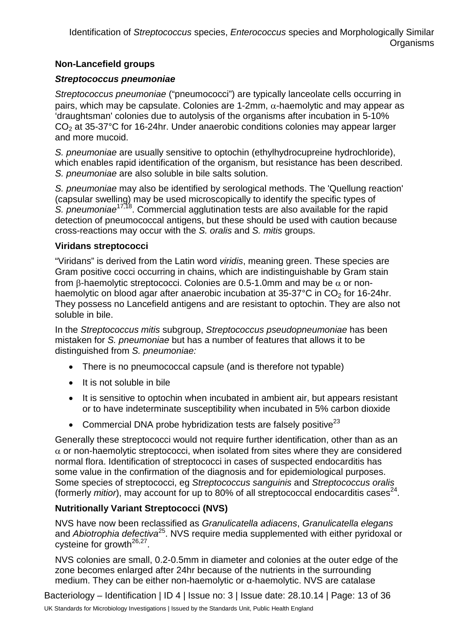## **Non-Lancefield groups**

## *Streptococcus pneumoniae*

*Streptococcus pneumoniae* ("pneumococci") are typically lanceolate cells occurring in pairs, which may be capsulate. Colonies are 1-2mm,  $α$ -haemolytic and may appear as 'draughtsman' colonies due to autolysis of the organisms after incubation in 5-10%  $CO<sub>2</sub>$  at 35-37 $^{\circ}$ C for 16-24hr. Under anaerobic conditions colonies may appear larger and more mucoid.

*S. pneumoniae* are usually sensitive to optochin (ethylhydrocupreine hydrochloride), which enables rapid identification of the organism, but resistance has been described. *S. pneumoniae* are also soluble in bile salts solution.

*S. pneumoniae* may also be identified by serological methods. The 'Quellung reaction' (capsular swelling) may be used microscopically to identify the specific types of *S. pneumoniae*17,18. Commercial agglutination tests are also available for the rapid detection of pneumococcal antigens, but these should be used with caution because cross-reactions may occur with the *S. oralis* and *S. mitis* groups.

## **Viridans streptococci**

"Viridans" is derived from the Latin word *viridis*, meaning green. These species are Gram positive cocci occurring in chains, which are indistinguishable by Gram stain from β-haemolytic streptococci. Colonies are 0.5-1.0mm and may be  $\alpha$  or nonhaemolytic on blood agar after anaerobic incubation at  $35-37^{\circ}$ C in CO<sub>2</sub> for 16-24hr. They possess no Lancefield antigens and are resistant to optochin. They are also not soluble in bile.

In the *Streptococcus mitis* subgroup, *Streptococcus pseudopneumoniae* has been mistaken for *S. pneumoniae* but has a number of features that allows it to be distinguished from *S. pneumoniae:*

- There is no pneumococcal capsule (and is therefore not typable)
- It is not soluble in bile
- It is sensitive to optochin when incubated in ambient air, but appears resistant or to have indeterminate susceptibility when incubated in 5% carbon dioxide
- Commercial DNA probe hybridization tests are falsely positive $^{23}$

Generally these streptococci would not require further identification, other than as an  $\alpha$  or non-haemolytic streptococci, when isolated from sites where they are considered normal flora. Identification of streptococci in cases of suspected endocarditis has some value in the confirmation of the diagnosis and for epidemiological purposes. Some species of streptococci, eg *Streptococcus sanguinis* and *Streptococcus oralis*  (formerly *mitior*), may account for up to 80% of all streptococcal endocarditis cases<sup>24</sup>.

## **Nutritionally Variant Streptococci (NVS)**

NVS have now been reclassified as *Granulicatella adiacens*, *Granulicatella elegans* and *Abiotrophia defectiva*25. NVS require media supplemented with either pyridoxal or cysteine for growth<sup>26,27</sup>.

NVS colonies are small, 0.2-0.5mm in diameter and colonies at the outer edge of the zone becomes enlarged after 24hr because of the nutrients in the surrounding medium. They can be either non-haemolytic or α-haemolytic. NVS are catalase

Bacteriology – Identification | ID 4 | Issue no: 3 | Issue date: 28.10.14 | Page: 13 of 36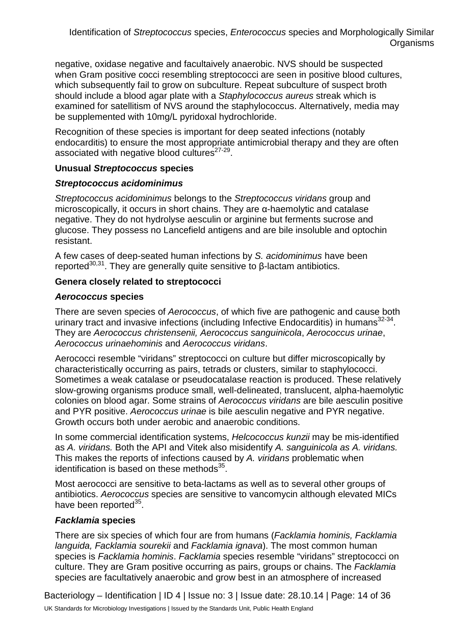negative, oxidase negative and facultaively anaerobic. NVS should be suspected when Gram positive cocci resembling streptococci are seen in positive blood cultures, which subsequently fail to grow on subculture. Repeat subculture of suspect broth should include a blood agar plate with a *Staphylococcus aureus* streak which is examined for satellitism of NVS around the staphylococcus. Alternatively, media may be supplemented with 10mg/L pyridoxal hydrochloride.

Recognition of these species is important for deep seated infections (notably endocarditis) to ensure the most appropriate antimicrobial therapy and they are often associated with negative blood cultures<sup>27-29</sup>.

#### **Unusual** *Streptococcus* **species**

#### *Streptococcus acidominimus*

*Streptococcus acidominimus* belongs to the *Streptococcus viridans* group and microscopically, it occurs in short chains. They are α-haemolytic and catalase negative. They do not hydrolyse aesculin or arginine but ferments sucrose and glucose. They possess no Lancefield antigens and are bile insoluble and optochin resistant.

A few cases of deep-seated human infections by *S. acidominimus* have been reported<sup>30,31</sup>. They are generally quite sensitive to β-lactam antibiotics.

#### **Genera closely related to streptococci**

#### *Aerococcus* **species**

There are seven species of *Aerococcus*, of which five are pathogenic and cause both urinary tract and invasive infections (including Infective Endocarditis) in humans $32-34$ . They are *Aerococcus christensenii, Aerococcus sanguinicola*, *Aerococcus urinae*, *Aerococcus urinaehominis* and *Aerococcus viridans*.

Aerococci resemble "viridans" streptococci on culture but differ microscopically by characteristically occurring as pairs, tetrads or clusters, similar to staphylococci. Sometimes a weak catalase or pseudocatalase reaction is produced. These relatively slow-growing organisms produce small, well-delineated, translucent, alpha-haemolytic colonies on blood agar. Some strains of *Aerococcus viridans* are bile aesculin positive and PYR positive. *Aerococcus urinae* is bile aesculin negative and PYR negative. Growth occurs both under aerobic and anaerobic conditions.

In some commercial identification systems, *Helcococcus kunzii* may be mis-identified as *A. viridans.* Both the API and Vitek also misidentify *A. sanguinicola as A. viridans.*  This makes the reports of infections caused by *A. viridans* problematic when identification is based on these methods $35$ .

Most aerococci are sensitive to beta-lactams as well as to several other groups of antibiotics. *Aerococcus* species are sensitive to vancomycin although elevated MICs have been reported $35$ .

## *Facklamia* **species**

There are six species of which four are from humans (*Facklamia hominis, Facklamia languida, Facklamia sourekii* and *Facklamia ignava*). The most common human species is *Facklamia hominis*. *Facklamia* species resemble "viridans" streptococci on culture. They are Gram positive occurring as pairs, groups or chains. The *Facklamia* species are facultatively anaerobic and grow best in an atmosphere of increased

Bacteriology – Identification | ID 4 | Issue no: 3 | Issue date: 28.10.14 | Page: 14 of 36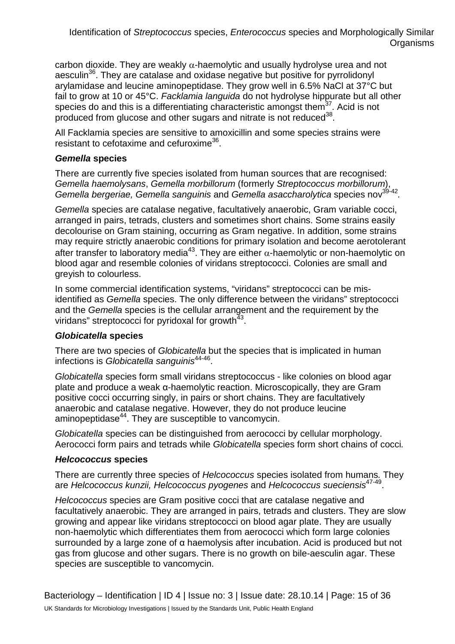carbon dioxide. They are weakly  $\alpha$ -haemolytic and usually hydrolyse urea and not aesculin<sup>36</sup>. They are catalase and oxidase negative but positive for pyrrolidonyl arylamidase and leucine aminopeptidase. They grow well in 6.5% NaCl at 37°C but fail to grow at 10 or 45°C. *Facklamia languida* do not hydrolyse hippurate but all other species do and this is a differentiating characteristic amongst them $37$ . Acid is not produced from glucose and other sugars and nitrate is not reduced<sup>38</sup>.

All Facklamia species are sensitive to amoxicillin and some species strains were resistant to cefotaxime and cefuroxime<sup>36</sup>.

## *Gemella* **species**

There are currently five species isolated from human sources that are recognised: *Gemella haemolysans*, *Gemella morbillorum* (formerly *Streptococcus morbillorum*), *Gemella bergeriae, Gemella sanguinis and Gemella asaccharolytica species nov*<sup>39-42</sup>.

*Gemella* species are catalase negative, facultatively anaerobic, Gram variable cocci, arranged in pairs, tetrads, clusters and sometimes short chains. Some strains easily decolourise on Gram staining, occurring as Gram negative. In addition, some strains may require strictly anaerobic conditions for primary isolation and become aerotolerant after transfer to laboratory media<sup>43</sup>. They are either  $\alpha$ -haemolytic or non-haemolytic on blood agar and resemble colonies of viridans streptococci. Colonies are small and greyish to colourless.

In some commercial identification systems, "viridans" streptococci can be misidentified as *Gemella* species. The only difference between the viridans" streptococci and the *Gemella* species is the cellular arrangement and the requirement by the viridans" streptococci for pyridoxal for growth $43$ .

## *Globicatella* **species**

There are two species of *Globicatella* but the species that is implicated in human infections is *Globicatella sanguinis*44-46.

*Globicatella* species form small viridans streptococcus - like colonies on blood agar plate and produce a weak α-haemolytic reaction. Microscopically, they are Gram positive cocci occurring singly, in pairs or short chains. They are facultatively anaerobic and catalase negative. However, they do not produce leucine aminopeptidase<sup>44</sup>. They are susceptible to vancomycin.

*Globicatella* species can be distinguished from aerococci by cellular morphology. Aerococci form pairs and tetrads while *Globicatella* species form short chains of cocci*.*

## *Helcococcus* **species**

There are currently three species of *Helcococcus* species isolated from humans*.* They are *Helcococcus kunzii, Helcococcus pyogenes* and *Helcococcus sueciensis*47-49.

*Helcococcus* species are Gram positive cocci that are catalase negative and facultatively anaerobic. They are arranged in pairs, tetrads and clusters. They are slow growing and appear like viridans streptococci on blood agar plate. They are usually non-haemolytic which differentiates them from aerococci which form large colonies surrounded by a large zone of α haemolysis after incubation. Acid is produced but not gas from glucose and other sugars. There is no growth on bile-aesculin agar. These species are susceptible to vancomycin.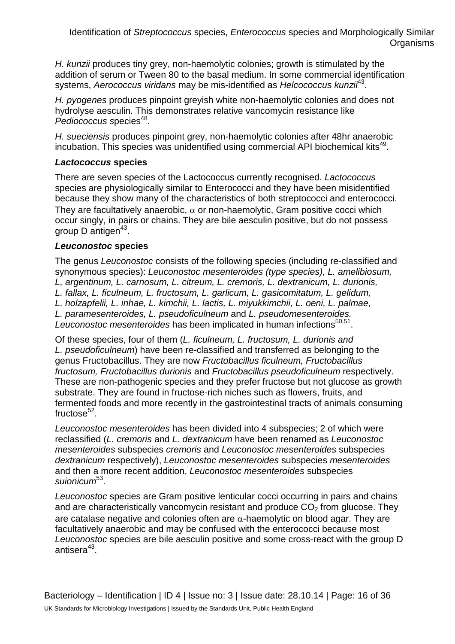*H. kunzii* produces tiny grey, non-haemolytic colonies; growth is stimulated by the addition of serum or Tween 80 to the basal medium. In some commercial identification systems, *Aerococcus viridans* may be mis-identified as *Helcococcus kunzii*43.

*H. pyogenes* produces pinpoint greyish white non-haemolytic colonies and does not hydrolyse aesculin. This demonstrates relative vancomycin resistance like *Pediococcus species*<sup>48</sup>.

*H. sueciensis* produces pinpoint grey, non-haemolytic colonies after 48hr anaerobic incubation. This species was unidentified using commercial API biochemical kits<sup>49</sup>.

#### *Lactococcus* **species**

There are seven species of the Lactococcus currently recognised*. Lactococcus* species are physiologically similar to Enterococci and they have been misidentified because they show many of the characteristics of both streptococci and enterococci. They are facultatively anaerobic,  $\alpha$  or non-haemolytic, Gram positive cocci which occur singly, in pairs or chains. They are bile aesculin positive, but do not possess group  $D$  antigen<sup>43</sup>.

## *Leuconostoc* **species**

The genus *Leuconostoc* consists of the following species (including re-classified and synonymous species): *Leuconostoc mesenteroides (type species), L. amelibiosum, L, argentinum, L. carnosum, L. citreum, L. cremoris, L. dextranicum, L. durionis, L. fallax, L. ficulneum, L. fructosum, L. garlicum, L. gasicomitatum, L. gelidum, L. holzapfelii, L. inhae, L. kimchii, L. lactis, L. miyukkimchii, L. oeni, L. palmae, L. paramesenteroides, L. pseudoficulneum* and *L. pseudomesenteroides.*  Leuconostoc mesenteroides has been implicated in human infections<sup>50,51</sup>.

Of these species, four of them (*L. ficulneum, L. fructosum, L. durionis and L. pseudoficulneum*) have been re-classified and transferred as belonging to the genus Fructobacillus. They are now *Fructobacillus ficulneum, Fructobacillus fructosum, Fructobacillus durionis* and *Fructobacillus pseudoficulneum* respectively. These are non-pathogenic species and they prefer fructose but not glucose as growth substrate. They are found in fructose-rich niches such as flowers, fruits, and fermented foods and more recently in the gastrointestinal tracts of animals consuming fructose $52$ .

*Leuconostoc mesenteroides* has been divided into 4 subspecies; 2 of which were reclassified (*L. cremoris* and *L. dextranicum* have been renamed as *Leuconostoc mesenteroides* subspecies *cremoris* and *Leuconostoc mesenteroides* subspecies *dextranicum* respectively), *Leuconostoc mesenteroides* subspecies *mesenteroides* and then a more recent addition, *Leuconostoc mesenteroides* subspecies *suionicum*53.

*Leuconostoc* species are Gram positive lenticular cocci occurring in pairs and chains and are characteristically vancomycin resistant and produce  $CO<sub>2</sub>$  from glucose. They are catalase negative and colonies often are  $\alpha$ -haemolytic on blood agar. They are facultatively anaerobic and may be confused with the enterococci because most *Leuconostoc* species are bile aesculin positive and some cross-react with the group D antiser $a^{43}$ .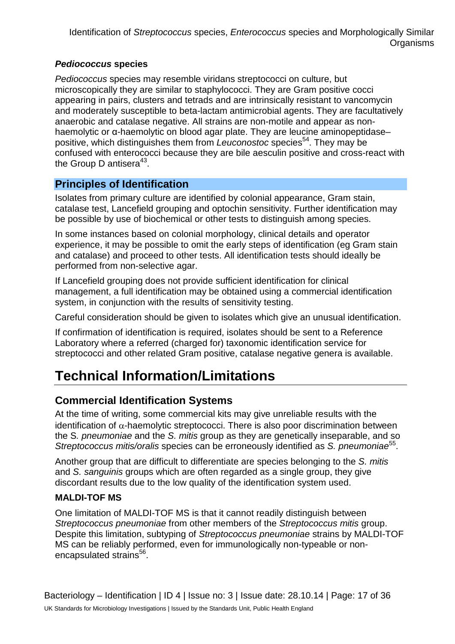## *Pediococcus* **species**

*Pediococcus* species may resemble viridans streptococci on culture, but microscopically they are similar to staphylococci. They are Gram positive cocci appearing in pairs, clusters and tetrads and are intrinsically resistant to vancomycin and moderately susceptible to beta-lactam antimicrobial agents. They are facultatively anaerobic and catalase negative. All strains are non-motile and appear as nonhaemolytic or α-haemolytic on blood agar plate. They are leucine aminopeptidase– positive, which distinguishes them from *Leuconostoc* species<sup>54</sup>. They may be confused with enterococci because they are bile aesculin positive and cross-react with the Group D antisera<sup>43</sup>.

## **Principles of Identification**

Isolates from primary culture are identified by colonial appearance, Gram stain, catalase test, Lancefield grouping and optochin sensitivity. Further identification may be possible by use of biochemical or other tests to distinguish among species.

In some instances based on colonial morphology, clinical details and operator experience, it may be possible to omit the early steps of identification (eg Gram stain and catalase) and proceed to other tests. All identification tests should ideally be performed from non-selective agar.

If Lancefield grouping does not provide sufficient identification for clinical management, a full identification may be obtained using a commercial identification system, in conjunction with the results of sensitivity testing.

Careful consideration should be given to isolates which give an unusual identification.

If confirmation of identification is required, isolates should be sent to a Reference Laboratory where a referred (charged for) taxonomic identification service for streptococci and other related Gram positive, catalase negative genera is available.

# **Technical Information/Limitations**

## **Commercial Identification Systems**

At the time of writing, some commercial kits may give unreliable results with the identification of  $\alpha$ -haemolytic streptococci. There is also poor discrimination between the S*. pneumoniae* and the *S. mitis* group as they are genetically inseparable, and so *Streptococcus mitis/oralis* species can be erroneously identified as *S. pneumoniae*<sup>55</sup>.

Another group that are difficult to differentiate are species belonging to the *S. mitis*  and *S. sanguinis* groups which are often regarded as a single group, they give discordant results due to the low quality of the identification system used.

## **MALDI-TOF MS**

One limitation of MALDI-TOF MS is that it cannot readily distinguish between *Streptococcus pneumoniae* from other members of the *Streptococcus mitis* group. Despite this limitation, subtyping of *Streptococcus pneumoniae* strains by MALDI-TOF MS can be reliably performed, even for immunologically non-typeable or nonencapsulated strains<sup>56</sup>.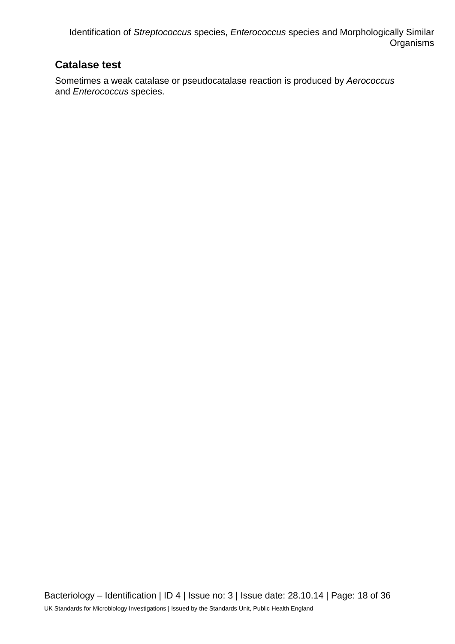## **Catalase test**

Sometimes a weak catalase or pseudocatalase reaction is produced by *Aerococcus* and *Enterococcus* species.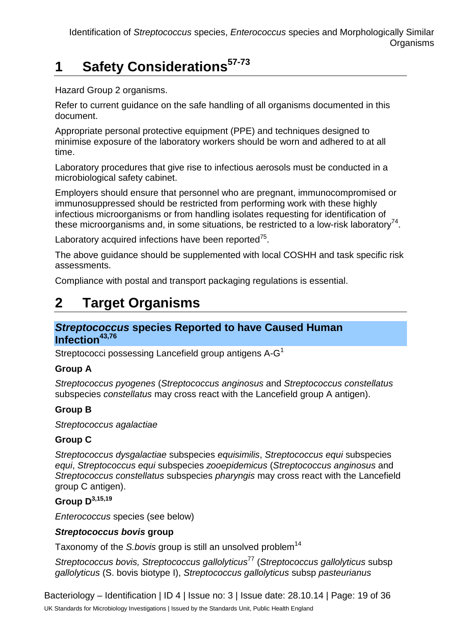# **1 Safety Considerations57-73**

Hazard Group 2 organisms.

Refer to current guidance on the safe handling of all organisms documented in this document.

Appropriate personal protective equipment (PPE) and techniques designed to minimise exposure of the laboratory workers should be worn and adhered to at all time.

Laboratory procedures that give rise to infectious aerosols must be conducted in a microbiological safety cabinet.

Employers should ensure that personnel who are pregnant, immunocompromised or immunosuppressed should be restricted from performing work with these highly infectious microorganisms or from handling isolates requesting for identification of these microorganisms and, in some situations, be restricted to a low-risk laboratory<sup>74</sup>.

Laboratory acquired infections have been reported $75$ .

The above guidance should be supplemented with local COSHH and task specific risk assessments.

Compliance with postal and transport packaging regulations is essential.

## **2 Target Organisms**

## *Streptococcus* **species Reported to have Caused Human Infection43,76**

Streptococci possessing Lancefield group antigens A-G<sup>1</sup>

## **Group A**

*Streptococcus pyogenes* (*Streptococcus anginosus* and *Streptococcus constellatus* subspecies *constellatus* may cross react with the Lancefield group A antigen).

## **Group B**

*Streptococcus agalactiae*

## **Group C**

*Streptococcus dysgalactiae* subspecies *equisimilis*, *Streptococcus equi* subspecies *equi*, *Streptococcus equi* subspecies *zooepidemicus* (*Streptococcus anginosus* and *Streptococcus constellatus* subspecies *pharyngis* may cross react with the Lancefield group C antigen).

## **Group D3,15,19**

*Enterococcus* species (see below)

## *Streptococcus bovis* **group**

Taxonomy of the *S.bovis* group is still an unsolved problem<sup>14</sup>

*Streptococcus bovis, Streptococcus gallolyticus*<sup>77</sup> (*Streptococcus gallolyticus* subsp *gallolyticus* (S. bovis biotype I), *Streptococcus gallolyticus* subsp *pasteurianus*

Bacteriology – Identification | ID 4 | Issue no: 3 | Issue date: 28.10.14 | Page: 19 of 36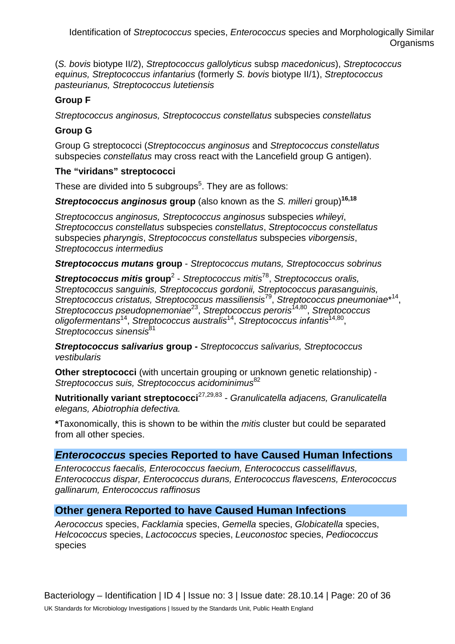(*S. bovis* biotype II/2), *Streptococcus gallolyticus* subsp *macedonicus*), *Streptococcus equinus, Streptococcus infantarius* (formerly *S. bovis* biotype II/1), *Streptococcus pasteurianus, Streptococcus lutetiensis*

## **Group F**

*Streptococcus anginosus, Streptococcus constellatus* subspecies *constellatus*

## **Group G**

Group G streptococci (*Streptococcus anginosus* and *Streptococcus constellatus*  subspecies *constellatus* may cross react with the Lancefield group G antigen).

## **The "viridans" streptococci**

These are divided into 5 subgroups<sup>5</sup>. They are as follows:

*Streptococcus anginosus* **group** (also known as the *S. milleri* group)**16,18**

*Streptococcus anginosus, Streptococcus anginosus* subspecies *whileyi*, *Streptococcus constellatus* subspecies *constellatus*, *Streptococcus constellatus* subspecies *pharyngis*, *Streptococcus constellatus* subspecies *viborgensis*, *Streptococcus intermedius*

*Streptococcus mutans* **group** - *Streptococcus mutans, Streptococcus sobrinus*

*Streptococcus mitis* **group**<sup>2</sup> - *Streptococcus mitis*78, *Streptococcus oralis, Streptococcus sanguinis, Streptococcus gordonii, Streptococcus parasanguinis, Streptococcus cristatus, Streptococcus massiliensis*79, *Streptococcus pneumoniae*\* 14, *Streptococcus pseudopnemoniae*23, *Streptococcus peroris*14,80, *Streptococcus oligofermentans*14, *Streptococcus australis*14, *Streptococcus infantis*14,80, Streptococcus sinensis<sup>81</sup>

*Streptococcus salivarius* **group -** *Streptococcus salivarius, Streptococcus vestibularis*

**Other streptococci** (with uncertain grouping or unknown genetic relationship) - *Streptococcus suis, Streptococcus acidominimus*<sup>82</sup>

**Nutritionally variant streptococci**27,29,83 - *Granulicatella adjacens, Granulicatella elegans, Abiotrophia defectiva.* 

**\***Taxonomically, this is shown to be within the *mitis* cluster but could be separated from all other species.

## *Enterococcus* **species Reported to have Caused Human Infections**

*Enterococcus faecalis, Enterococcus faecium, Enterococcus casseliflavus, Enterococcus dispar, Enterococcus durans, Enterococcus flavescens, Enterococcus gallinarum, Enterococcus raffinosus*

## **Other genera Reported to have Caused Human Infections**

*Aerococcus* species, *Facklamia* species, *Gemella* species, *Globicatella* species, *Helcococcus* species, *Lactococcus* species, *Leuconostoc* species, *Pediococcus* species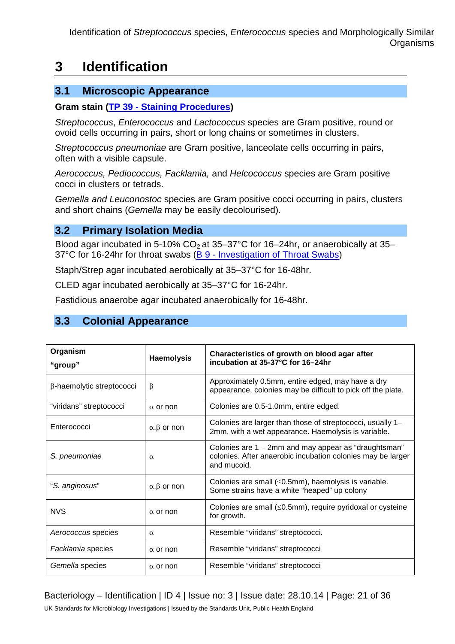## **3 Identification**

## **3.1 Microscopic Appearance**

#### **Gram stain (TP 39 - [Staining Procedures\)](https://www.gov.uk/government/collections/standards-for-microbiology-investigations-smi#test-procedures)**

*Streptococcus*, *Enterococcus* and *Lactococcus* species are Gram positive, round or ovoid cells occurring in pairs, short or long chains or sometimes in clusters.

*Streptococcus pneumoniae* are Gram positive, lanceolate cells occurring in pairs, often with a visible capsule.

*Aerococcus, Pediococcus, Facklamia,* and *Helcococcus* species are Gram positive cocci in clusters or tetrads.

*Gemella and Leuconostoc* species are Gram positive cocci occurring in pairs, clusters and short chains (*Gemella* may be easily decolourised).

## **3.2 Primary Isolation Media**

Blood agar incubated in 5-10%  $CO<sub>2</sub>$  at 35–37°C for 16–24hr, or anaerobically at 35– 37°C for 16-24hr for throat swabs (B 9 - [Investigation of Throat Swabs\)](https://www.gov.uk/government/collections/standards-for-microbiology-investigations-smi#bacteriology)

Staph/Strep agar incubated aerobically at 35–37°C for 16-48hr.

CLED agar incubated aerobically at 35–37°C for 16-24hr.

Fastidious anaerobe agar incubated anaerobically for 16-48hr.

## **3.3 Colonial Appearance**

| Organism                  | <b>Haemolysis</b>         | Characteristics of growth on blood agar after<br>incubation at 35-37°C for 16-24hr                                                 |  |  |  |
|---------------------------|---------------------------|------------------------------------------------------------------------------------------------------------------------------------|--|--|--|
| "group"                   |                           |                                                                                                                                    |  |  |  |
| β-haemolytic streptococci | β                         | Approximately 0.5mm, entire edged, may have a dry<br>appearance, colonies may be difficult to pick off the plate.                  |  |  |  |
| "viridans" streptococci   | $\alpha$ or non           | Colonies are 0.5-1.0mm, entire edged.                                                                                              |  |  |  |
| Enterococci               | $\alpha, \beta$ or non    | Colonies are larger than those of streptococci, usually 1-<br>2mm, with a wet appearance. Haemolysis is variable.                  |  |  |  |
| S. pneumoniae             | $\alpha$                  | Colonies are 1 – 2mm and may appear as "draughtsman"<br>colonies. After anaerobic incubation colonies may be larger<br>and mucoid. |  |  |  |
| "S. anginosus"            | $\alpha$ , $\beta$ or non | Colonies are small $(\leq 0.5$ mm), haemolysis is variable.<br>Some strains have a white "heaped" up colony                        |  |  |  |
| <b>NVS</b>                | $\alpha$ or non           | Colonies are small $(\leq 0.5$ mm), require pyridoxal or cysteine<br>for growth.                                                   |  |  |  |
| Aerococcus species        | $\alpha$                  | Resemble "viridans" streptococci.                                                                                                  |  |  |  |
| Facklamia species         | $\alpha$ or non           | Resemble "viridans" streptococci                                                                                                   |  |  |  |
| Gemella species           | $\alpha$ or non           | Resemble "viridans" streptococci                                                                                                   |  |  |  |

## Bacteriology – Identification | ID 4 | Issue no: 3 | Issue date: 28.10.14 | Page: 21 of 36

UK Standards for Microbiology Investigations | Issued by the Standards Unit, Public Health England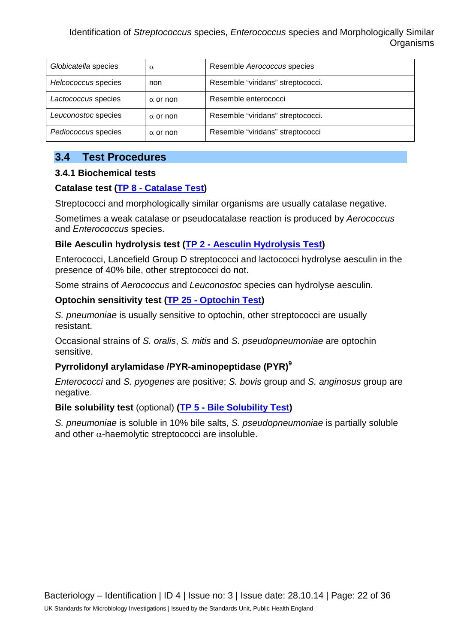| Globicatella species | $\alpha$        | Resemble Aerococcus species       |  |  |
|----------------------|-----------------|-----------------------------------|--|--|
| Helcococcus species  | non             | Resemble "viridans" streptococci. |  |  |
| Lactococcus species  | $\alpha$ or non | Resemble enterococci              |  |  |
| Leuconostoc species  | $\alpha$ or non | Resemble "viridans" streptococci. |  |  |
| Pediococcus species  | $\alpha$ or non | Resemble "viridans" streptococci  |  |  |

## **3.4 Test Procedures**

#### **3.4.1 Biochemical tests**

## **Catalase test (TP 8 - [Catalase Test\)](https://www.gov.uk/government/collections/standards-for-microbiology-investigations-smi#test-procedures)**

Streptococci and morphologically similar organisms are usually catalase negative.

Sometimes a weak catalase or pseudocatalase reaction is produced by *Aerococcus* and *Enterococcus* species.

## **Bile Aesculin hydrolysis test (TP 2 - [Aesculin Hydrolysis Test\)](https://www.gov.uk/government/collections/standards-for-microbiology-investigations-smi#test-procedures)**

Enterococci, Lancefield Group D streptococci and lactococci hydrolyse aesculin in the presence of 40% bile, other streptococci do not.

Some strains of *Aerococcus* and *Leuconostoc* species can hydrolyse aesculin.

## **Optochin sensitivity test (TP 25 - [Optochin Test\)](https://www.gov.uk/government/collections/standards-for-microbiology-investigations-smi#test-procedures)**

*S. pneumoniae* is usually sensitive to optochin, other streptococci are usually resistant.

Occasional strains of *S. oralis*, *S. mitis* and *S. pseudopneumoniae* are optochin sensitive.

## **Pyrrolidonyl arylamidase /PYR-aminopeptidase (PYR)9**

*Enterococci* and *S. pyogenes* are positive; *S. bovis* group and *S. anginosus* group are negative.

## **Bile solubility test** (optional) **(TP 5 - [Bile Solubility Test\)](https://www.gov.uk/government/collections/standards-for-microbiology-investigations-smi#test-procedures)**

*S. pneumoniae* is soluble in 10% bile salts, *S. pseudopneumoniae* is partially soluble and other  $\alpha$ -haemolytic streptococci are insoluble.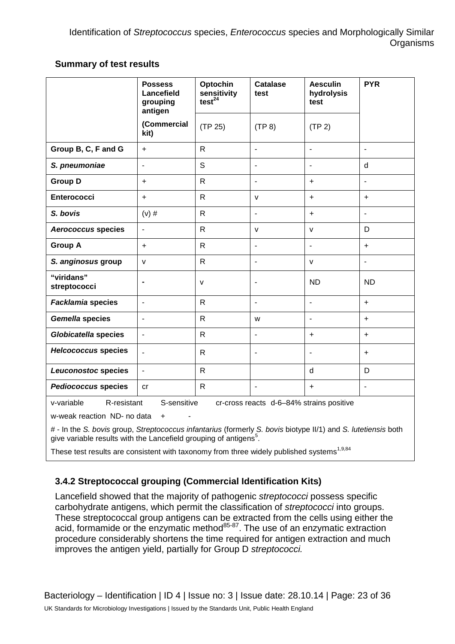## **Summary of test results**

|                                                                                                                                                                                                                                                   | <b>Possess</b><br>Lancefield<br>grouping<br>antigen | Optochin<br>sensitivity<br>test <sup>24</sup> | <b>Catalase</b><br>test  | <b>Aesculin</b><br>hydrolysis<br>test | <b>PYR</b>     |  |
|---------------------------------------------------------------------------------------------------------------------------------------------------------------------------------------------------------------------------------------------------|-----------------------------------------------------|-----------------------------------------------|--------------------------|---------------------------------------|----------------|--|
|                                                                                                                                                                                                                                                   | (Commercial<br>kit)                                 | (TP 25)                                       | (TP 8)                   | (TP 2)                                |                |  |
| Group B, C, F and G                                                                                                                                                                                                                               | $\ddot{}$                                           | $\mathsf{R}$                                  | $\overline{\phantom{a}}$ | $\overline{\phantom{a}}$              | $\blacksquare$ |  |
| S. pneumoniae                                                                                                                                                                                                                                     | $\blacksquare$                                      | S                                             | ÷,                       |                                       | $\mathsf{d}$   |  |
| <b>Group D</b>                                                                                                                                                                                                                                    | $\ddot{}$                                           | $\mathsf{R}$                                  | $\overline{\phantom{a}}$ | $\ddot{}$                             | ÷,             |  |
| <b>Enterococci</b>                                                                                                                                                                                                                                | $\ddot{}$                                           | $\mathsf{R}$                                  | $\mathsf{V}$             | $\ddot{}$                             | $\ddot{}$      |  |
| S. bovis                                                                                                                                                                                                                                          | $(v)$ #                                             | $\mathsf{R}$                                  | $\blacksquare$           | $\ddot{}$                             | $\sim$         |  |
| <b>Aerococcus species</b>                                                                                                                                                                                                                         | $\overline{\phantom{a}}$                            | $\mathsf{R}$                                  | v                        | $\mathsf{v}$                          | D              |  |
| <b>Group A</b>                                                                                                                                                                                                                                    | $\ddot{}$                                           | $\mathsf{R}$                                  | $\overline{\phantom{a}}$ | $\blacksquare$                        | $\ddot{}$      |  |
| S. anginosus group                                                                                                                                                                                                                                | $\mathsf{v}$                                        | $\mathsf{R}$                                  |                          | v                                     |                |  |
| "viridans"<br>streptococci                                                                                                                                                                                                                        |                                                     | $\mathsf{V}$                                  | $\overline{\phantom{a}}$ | <b>ND</b>                             | <b>ND</b>      |  |
| <b>Facklamia species</b>                                                                                                                                                                                                                          | $\blacksquare$                                      | $\mathsf{R}$                                  | ÷,                       | ÷,                                    | $\ddot{}$      |  |
| <b>Gemella species</b>                                                                                                                                                                                                                            | $\overline{a}$                                      | $\mathsf{R}$                                  | W                        | $\overline{\phantom{0}}$              | $+$            |  |
| <b>Globicatella species</b>                                                                                                                                                                                                                       | ä,                                                  | $\mathsf{R}$                                  | ÷,                       | $\ddot{}$                             | $\ddot{}$      |  |
| <b>Helcococcus species</b>                                                                                                                                                                                                                        | $\mathbf{r}$                                        | $\mathsf{R}$                                  | $\blacksquare$           | $\blacksquare$                        | $\ddot{}$      |  |
| Leuconostoc species                                                                                                                                                                                                                               | $\blacksquare$                                      | $\mathsf{R}$                                  |                          | d                                     | D              |  |
| <b>Pediococcus species</b>                                                                                                                                                                                                                        | cr                                                  | $\mathsf{R}$                                  | $\blacksquare$           | $\ddot{}$                             | ÷,             |  |
| v-variable<br>S-sensitive<br>cr-cross reacts d-6-84% strains positive<br>R-resistant<br>w-weak reaction ND- no data<br>$\ddot{}$<br># - In the S. bovis group, Streptococcus infantarius (formerly S. bovis biotype II/1) and S. lutetiensis both |                                                     |                                               |                          |                                       |                |  |
| give variable results with the Lancefield grouping of antigens <sup>5</sup> .                                                                                                                                                                     |                                                     |                                               |                          |                                       |                |  |

These test results are consistent with taxonomy from three widely published systems<sup>1,9,84</sup>

## **3.4.2 Streptococcal grouping (Commercial Identification Kits)**

Lancefield showed that the majority of pathogenic *streptococci* possess specific carbohydrate antigens, which permit the classification of *streptococci* into groups. These streptococcal group antigens can be extracted from the cells using either the acid, formamide or the enzymatic method<sup>85-87</sup>. The use of an enzymatic extraction procedure considerably shortens the time required for antigen extraction and much improves the antigen yield, partially for Group D *streptococci.*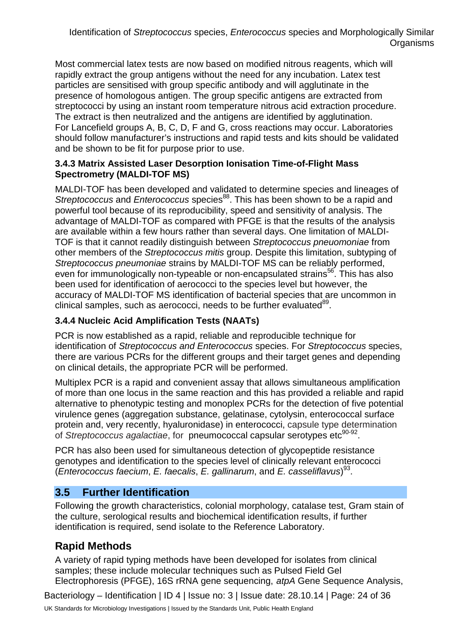Most commercial latex tests are now based on modified nitrous reagents, which will rapidly extract the group antigens without the need for any incubation. Latex test particles are sensitised with group specific antibody and will agglutinate in the presence of homologous antigen. The group specific antigens are extracted from streptococci by using an instant room temperature nitrous acid extraction procedure. The extract is then neutralized and the antigens are identified by agglutination. For Lancefield groups A, B, C, D, F and G, cross reactions may occur. Laboratories should follow manufacturer's instructions and rapid tests and kits should be validated and be shown to be fit for purpose prior to use.

## **3.4.3 Matrix Assisted Laser Desorption Ionisation Time-of-Flight Mass Spectrometry (MALDI-TOF MS)**

MALDI-TOF has been developed and validated to determine species and lineages of *Streptococcus* and *Enterococcus* species<sup>88</sup>. This has been shown to be a rapid and powerful tool because of its reproducibility, speed and sensitivity of analysis. The advantage of MALDI-TOF as compared with PFGE is that the results of the analysis are available within a few hours rather than several days. One limitation of MALDI-TOF is that it cannot readily distinguish between *Streptococcus pneuomoniae* from other members of the *Streptococcus mitis* group. Despite this limitation, subtyping of *Streptococcus pneumoniae* strains by MALDI-TOF MS can be reliably performed, even for immunologically non-typeable or non-encapsulated strains<sup>56</sup>. This has also been used for identification of aerococci to the species level but however, the accuracy of MALDI-TOF MS identification of bacterial species that are uncommon in clinical samples, such as aerococci, needs to be further evaluated<sup>89</sup>.

## **3.4.4 Nucleic Acid Amplification Tests (NAATs)**

PCR is now established as a rapid, reliable and reproducible technique for identification of *Streptococcus and Enterococcus* species. For *Streptococcus* species, there are various PCRs for the different groups and their target genes and depending on clinical details, the appropriate PCR will be performed.

Multiplex PCR is a rapid and convenient assay that allows simultaneous amplification of more than one locus in the same reaction and this has provided a reliable and rapid alternative to phenotypic testing and monoplex PCRs for the detection of five potential virulence genes (aggregation substance, gelatinase, cytolysin, enterococcal surface protein and, very recently, hyaluronidase) in enterococci, capsule type determination of *Streptococcus agalactiae*, for pneumococcal capsular serotypes etc<sup>90-92</sup>.

PCR has also been used for simultaneous detection of glycopeptide resistance genotypes and identification to the species level of clinically relevant enterococci (*Enterococcus faecium*, *E. faecalis*, *E. gallinarum*, and *E. casseliflavus*) 93.

## **3.5 Further Identification**

Following the growth characteristics, colonial morphology, catalase test, Gram stain of the culture, serological results and biochemical identification results, if further identification is required, send isolate to the Reference Laboratory.

## **Rapid Methods**

A variety of rapid typing methods have been developed for isolates from clinical samples; these include molecular techniques such as Pulsed Field Gel Electrophoresis (PFGE), 16S rRNA gene sequencing, *atpA* Gene Sequence Analysis,

Bacteriology – Identification | ID 4 | Issue no: 3 | Issue date: 28.10.14 | Page: 24 of 36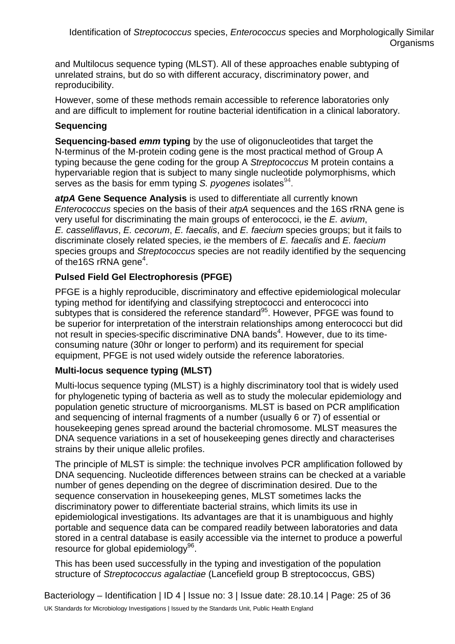and Multilocus sequence typing (MLST). All of these approaches enable subtyping of unrelated strains, but do so with different accuracy, discriminatory power, and reproducibility.

However, some of these methods remain accessible to reference laboratories only and are difficult to implement for routine bacterial identification in a clinical laboratory.

## **Sequencing**

**Sequencing-based** *emm* **typing** by the use of oligonucleotides that target the N-terminus of the M-protein coding gene is the most practical method of Group A typing because the gene coding for the group A *Streptococcus* M protein contains a hypervariable region that is subject to many single nucleotide polymorphisms, which serves as the basis for emm typing *S. pyogenes* isolates<sup>94</sup>.

*atpA* **Gene Sequence Analysis** is used to differentiate all currently known *Enterococcus* species on the basis of their *atpA* sequences and the 16S rRNA gene is very useful for discriminating the main groups of enterococci, ie the *E. avium*, *E. casseliflavus*, *E. cecorum*, *E. faecalis*, and *E. faecium* species groups; but it fails to discriminate closely related species, ie the members of *E. faecalis* and *E. faecium*  species groups and *Streptococcus* species are not readily identified by the sequencing of the16S rRNA gene<sup>4</sup>.

## **Pulsed Field Gel Electrophoresis (PFGE)**

PFGE is a highly reproducible, discriminatory and effective epidemiological molecular typing method for identifying and classifying streptococci and enterococci into subtypes that is considered the reference standard<sup>95</sup>. However, PFGE was found to be superior for interpretation of the interstrain relationships among enterococci but did not result in species-specific discriminative DNA bands<sup>4</sup>. However, due to its timeconsuming nature (30hr or longer to perform) and its requirement for special equipment, PFGE is not used widely outside the reference laboratories.

## **Multi-locus sequence typing (MLST)**

Multi-locus sequence typing (MLST) is a highly discriminatory tool that is widely used for phylogenetic typing of bacteria as well as to study the molecular epidemiology and population genetic structure of microorganisms. MLST is based on PCR amplification and sequencing of internal fragments of a number (usually 6 or 7) of essential or housekeeping genes spread around the bacterial chromosome. MLST measures the DNA sequence variations in a set of housekeeping genes directly and characterises strains by their unique allelic profiles.

The principle of MLST is simple: the technique involves PCR amplification followed by DNA sequencing. Nucleotide differences between strains can be checked at a variable number of genes depending on the degree of discrimination desired. Due to the sequence conservation in housekeeping genes, MLST sometimes lacks the discriminatory power to differentiate bacterial strains, which limits its use in epidemiological investigations. Its advantages are that it is unambiguous and highly portable and sequence data can be compared readily between laboratories and data stored in a central database is easily accessible via the internet to produce a powerful resource for global epidemiology<sup>96</sup>.

This has been used successfully in the typing and investigation of the population structure of *Streptococcus agalactiae* (Lancefield group B streptococcus, GBS)

Bacteriology – Identification | ID 4 | Issue no: 3 | Issue date: 28.10.14 | Page: 25 of 36 UK Standards for Microbiology Investigations | Issued by the Standards Unit, Public Health England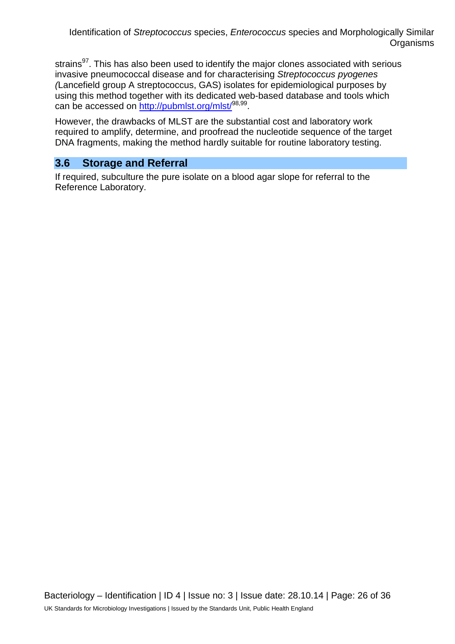strains<sup>97</sup>. This has also been used to identify the major clones associated with serious invasive pneumococcal disease and for characterising *Streptococcus pyogenes (*Lancefield group A streptococcus, GAS) isolates for epidemiological purposes by using this method together with its dedicated web-based database and tools which can be accessed on http://pubmlst.org/mlst<sup>/98,99</sup>.

However, the drawbacks of MLST are the substantial cost and laboratory work required to amplify, determine, and proofread the nucleotide sequence of the target DNA fragments, making the method hardly suitable for routine laboratory testing.

## **3.6 Storage and Referral**

If required, subculture the pure isolate on a blood agar slope for referral to the Reference Laboratory.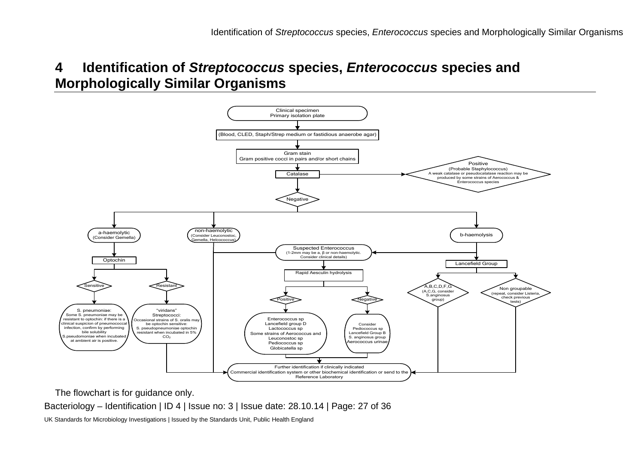

The flowchart is for guidance only.

Bacteriology – Identification | ID 4 | Issue no: 3 | Issue date: 28.10.14 | Page: 27 of 36

UK Standards for Microbiology Investigations | Issued by the Standards Unit, Public Health England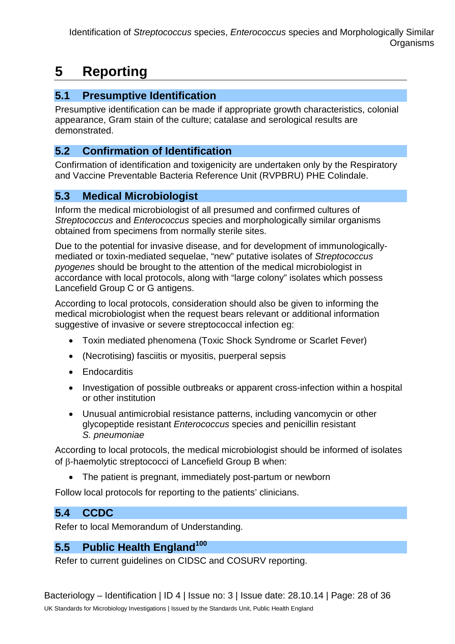# **5 Reporting**

## **5.1 Presumptive Identification**

Presumptive identification can be made if appropriate growth characteristics, colonial appearance, Gram stain of the culture; catalase and serological results are demonstrated.

## **5.2 Confirmation of Identification**

Confirmation of identification and toxigenicity are undertaken only by the Respiratory and Vaccine Preventable Bacteria Reference Unit (RVPBRU) PHE Colindale.

## **5.3 Medical Microbiologist**

Inform the medical microbiologist of all presumed and confirmed cultures of *Streptococcus* and *Enterococcus* species and morphologically similar organisms obtained from specimens from normally sterile sites.

Due to the potential for invasive disease, and for development of immunologicallymediated or toxin-mediated sequelae, "new" putative isolates of *Streptococcus pyogenes* should be brought to the attention of the medical microbiologist in accordance with local protocols, along with "large colony" isolates which possess Lancefield Group C or G antigens.

According to local protocols, consideration should also be given to informing the medical microbiologist when the request bears relevant or additional information suggestive of invasive or severe streptococcal infection eg:

- Toxin mediated phenomena (Toxic Shock Syndrome or Scarlet Fever)
- (Necrotising) fasciitis or myositis, puerperal sepsis
- Endocarditis
- Investigation of possible outbreaks or apparent cross-infection within a hospital or other institution
- Unusual antimicrobial resistance patterns, including vancomycin or other glycopeptide resistant *Enterococcus* species and penicillin resistant *S. pneumoniae*

According to local protocols, the medical microbiologist should be informed of isolates of β-haemolytic streptococci of Lancefield Group B when:

• The patient is pregnant, immediately post-partum or newborn

Follow local protocols for reporting to the patients' clinicians.

## **5.4 CCDC**

Refer to local Memorandum of Understanding.

## **5.5 Public Health England<sup>100</sup>**

Refer to current guidelines on CIDSC and COSURV reporting.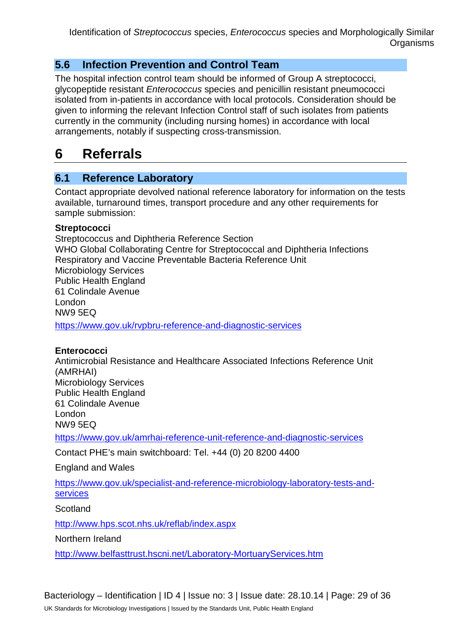## **5.6 Infection Prevention and Control Team**

The hospital infection control team should be informed of Group A streptococci, glycopeptide resistant *Enterococcus* species and penicillin resistant pneumococci isolated from in-patients in accordance with local protocols. Consideration should be given to informing the relevant Infection Control staff of such isolates from patients currently in the community (including nursing homes) in accordance with local arrangements, notably if suspecting cross-transmission.

## **6 Referrals**

## **6.1 Reference Laboratory**

Contact appropriate devolved national reference laboratory for information on the tests available, turnaround times, transport procedure and any other requirements for sample submission:

## **Streptococci**

Streptococcus and Diphtheria Reference Section WHO Global Collaborating Centre for Streptococcal and Diphtheria Infections Respiratory and Vaccine Preventable Bacteria Reference Unit Microbiology Services Public Health England 61 Colindale Avenue London NW9 5EQ <https://www.gov.uk/rvpbru-reference-and-diagnostic-services>

## **Enterococci**

Antimicrobial Resistance and Healthcare Associated Infections Reference Unit (AMRHAI) Microbiology Services Public Health England 61 Colindale Avenue London NW9 5EQ

<https://www.gov.uk/amrhai-reference-unit-reference-and-diagnostic-services>

Contact PHE's main switchboard: Tel. +44 (0) 20 8200 4400

## England and Wales

[https://www.gov.uk/specialist-and-reference-microbiology-laboratory-tests-and](https://www.gov.uk/specialist-and-reference-microbiology-laboratory-tests-and-services)[services](https://www.gov.uk/specialist-and-reference-microbiology-laboratory-tests-and-services)

Scotland

<http://www.hps.scot.nhs.uk/reflab/index.aspx>

Northern Ireland

<http://www.belfasttrust.hscni.net/Laboratory-MortuaryServices.htm>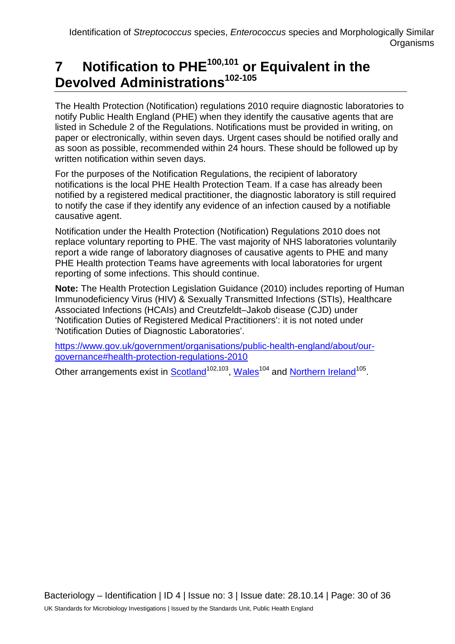# **7 Notification to PHE100,101 or Equivalent in the Devolved Administrations102-105**

The Health Protection (Notification) regulations 2010 require diagnostic laboratories to notify Public Health England (PHE) when they identify the causative agents that are listed in Schedule 2 of the Regulations. Notifications must be provided in writing, on paper or electronically, within seven days. Urgent cases should be notified orally and as soon as possible, recommended within 24 hours. These should be followed up by written notification within seven days.

For the purposes of the Notification Regulations, the recipient of laboratory notifications is the local PHE Health Protection Team. If a case has already been notified by a registered medical practitioner, the diagnostic laboratory is still required to notify the case if they identify any evidence of an infection caused by a notifiable causative agent.

Notification under the Health Protection (Notification) Regulations 2010 does not replace voluntary reporting to PHE. The vast majority of NHS laboratories voluntarily report a wide range of laboratory diagnoses of causative agents to PHE and many PHE Health protection Teams have agreements with local laboratories for urgent reporting of some infections. This should continue.

**Note:** The Health Protection Legislation Guidance (2010) includes reporting of Human Immunodeficiency Virus (HIV) & Sexually Transmitted Infections (STIs), Healthcare Associated Infections (HCAIs) and Creutzfeldt–Jakob disease (CJD) under 'Notification Duties of Registered Medical Practitioners': it is not noted under 'Notification Duties of Diagnostic Laboratories'.

[https://www.gov.uk/government/organisations/public-health-england/about/our](https://www.gov.uk/government/organisations/public-health-england/about/our-governance#health-protection-regulations-2010)[governance#health-protection-regulations-2010](https://www.gov.uk/government/organisations/public-health-england/about/our-governance#health-protection-regulations-2010)

Other arrangements exist in [Scotland](http://www.scotland.gov.uk/Topics/Health/Policy/Public-Health-Act/Implementation/Guidance/Guidance-Part2)<sup>102,103</sup>, Wales<sup>104</sup> and [Northern Ireland](http://www.publichealth.hscni.net/directorate-public-health/health-protection)<sup>105</sup>.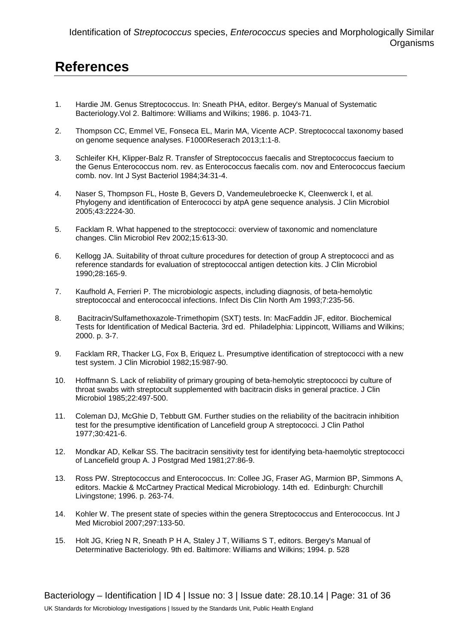## **References**

- 1. Hardie JM. Genus Streptococcus. In: Sneath PHA, editor. Bergey's Manual of Systematic Bacteriology.Vol 2. Baltimore: Williams and Wilkins; 1986. p. 1043-71.
- 2. Thompson CC, Emmel VE, Fonseca EL, Marin MA, Vicente ACP. Streptococcal taxonomy based on genome sequence analyses. F1000Reserach 2013;1:1-8.
- 3. Schleifer KH, Klipper-Balz R. Transfer of Streptococcus faecalis and Streptococcus faecium to the Genus Enterococcus nom. rev. as Enterococcus faecalis com. nov and Enterococcus faecium comb. nov. Int J Syst Bacteriol 1984;34:31-4.
- 4. Naser S, Thompson FL, Hoste B, Gevers D, Vandemeulebroecke K, Cleenwerck I, et al. Phylogeny and identification of Enterococci by atpA gene sequence analysis. J Clin Microbiol 2005;43:2224-30.
- 5. Facklam R. What happened to the streptococci: overview of taxonomic and nomenclature changes. Clin Microbiol Rev 2002;15:613-30.
- 6. Kellogg JA. Suitability of throat culture procedures for detection of group A streptococci and as reference standards for evaluation of streptococcal antigen detection kits. J Clin Microbiol 1990;28:165-9.
- 7. Kaufhold A, Ferrieri P. The microbiologic aspects, including diagnosis, of beta-hemolytic streptococcal and enterococcal infections. Infect Dis Clin North Am 1993;7:235-56.
- 8. Bacitracin/Sulfamethoxazole-Trimethopim (SXT) tests. In: MacFaddin JF, editor. Biochemical Tests for Identification of Medical Bacteria. 3rd ed. Philadelphia: Lippincott, Williams and Wilkins; 2000. p. 3-7.
- 9. Facklam RR, Thacker LG, Fox B, Eriquez L. Presumptive identification of streptococci with a new test system. J Clin Microbiol 1982;15:987-90.
- 10. Hoffmann S. Lack of reliability of primary grouping of beta-hemolytic streptococci by culture of throat swabs with streptocult supplemented with bacitracin disks in general practice. J Clin Microbiol 1985;22:497-500.
- 11. Coleman DJ, McGhie D, Tebbutt GM. Further studies on the reliability of the bacitracin inhibition test for the presumptive identification of Lancefield group A streptococci. J Clin Pathol 1977;30:421-6.
- 12. Mondkar AD, Kelkar SS. The bacitracin sensitivity test for identifying beta-haemolytic streptococci of Lancefield group A. J Postgrad Med 1981;27:86-9.
- 13. Ross PW. Streptococcus and Enterococcus. In: Collee JG, Fraser AG, Marmion BP, Simmons A, editors. Mackie & McCartney Practical Medical Microbiology. 14th ed. Edinburgh: Churchill Livingstone; 1996. p. 263-74.
- 14. Kohler W. The present state of species within the genera Streptococcus and Enterococcus. Int J Med Microbiol 2007;297:133-50.
- 15. Holt JG, Krieg N R, Sneath P H A, Staley J T, Williams S T, editors. Bergey's Manual of Determinative Bacteriology. 9th ed. Baltimore: Williams and Wilkins; 1994. p. 528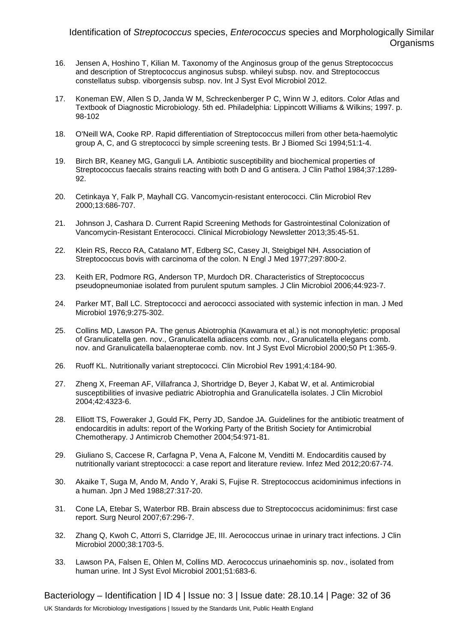- 16. Jensen A, Hoshino T, Kilian M. Taxonomy of the Anginosus group of the genus Streptococcus and description of Streptococcus anginosus subsp. whileyi subsp. nov. and Streptococcus constellatus subsp. viborgensis subsp. nov. Int J Syst Evol Microbiol 2012.
- 17. Koneman EW, Allen S D, Janda W M, Schreckenberger P C, Winn W J, editors. Color Atlas and Textbook of Diagnostic Microbiology. 5th ed. Philadelphia: Lippincott Williams & Wilkins; 1997. p. 98-102
- 18. O'Neill WA, Cooke RP. Rapid differentiation of Streptococcus milleri from other beta-haemolytic group A, C, and G streptococci by simple screening tests. Br J Biomed Sci 1994;51:1-4.
- 19. Birch BR, Keaney MG, Ganguli LA. Antibiotic susceptibility and biochemical properties of Streptococcus faecalis strains reacting with both D and G antisera. J Clin Pathol 1984;37:1289- 92.
- 20. Cetinkaya Y, Falk P, Mayhall CG. Vancomycin-resistant enterococci. Clin Microbiol Rev 2000;13:686-707.
- 21. Johnson J, Cashara D. Current Rapid Screening Methods for Gastrointestinal Colonization of Vancomycin-Resistant Enterococci. Clinical Microbiology Newsletter 2013;35:45-51.
- 22. Klein RS, Recco RA, Catalano MT, Edberg SC, Casey JI, Steigbigel NH. Association of Streptococcus bovis with carcinoma of the colon. N Engl J Med 1977;297:800-2.
- 23. Keith ER, Podmore RG, Anderson TP, Murdoch DR. Characteristics of Streptococcus pseudopneumoniae isolated from purulent sputum samples. J Clin Microbiol 2006;44:923-7.
- 24. Parker MT, Ball LC. Streptococci and aerococci associated with systemic infection in man. J Med Microbiol 1976;9:275-302.
- 25. Collins MD, Lawson PA. The genus Abiotrophia (Kawamura et al.) is not monophyletic: proposal of Granulicatella gen. nov., Granulicatella adiacens comb. nov., Granulicatella elegans comb. nov. and Granulicatella balaenopterae comb. nov. Int J Syst Evol Microbiol 2000;50 Pt 1:365-9.
- 26. Ruoff KL. Nutritionally variant streptococci. Clin Microbiol Rev 1991;4:184-90.
- 27. Zheng X, Freeman AF, Villafranca J, Shortridge D, Beyer J, Kabat W, et al. Antimicrobial susceptibilities of invasive pediatric Abiotrophia and Granulicatella isolates. J Clin Microbiol 2004;42:4323-6.
- 28. Elliott TS, Foweraker J, Gould FK, Perry JD, Sandoe JA. Guidelines for the antibiotic treatment of endocarditis in adults: report of the Working Party of the British Society for Antimicrobial Chemotherapy. J Antimicrob Chemother 2004;54:971-81.
- 29. Giuliano S, Caccese R, Carfagna P, Vena A, Falcone M, Venditti M. Endocarditis caused by nutritionally variant streptococci: a case report and literature review. Infez Med 2012;20:67-74.
- 30. Akaike T, Suga M, Ando M, Ando Y, Araki S, Fujise R. Streptococcus acidominimus infections in a human. Jpn J Med 1988;27:317-20.
- 31. Cone LA, Etebar S, Waterbor RB. Brain abscess due to Streptococcus acidominimus: first case report. Surg Neurol 2007;67:296-7.
- 32. Zhang Q, Kwoh C, Attorri S, Clarridge JE, III. Aerococcus urinae in urinary tract infections. J Clin Microbiol 2000;38:1703-5.
- 33. Lawson PA, Falsen E, Ohlen M, Collins MD. Aerococcus urinaehominis sp. nov., isolated from human urine. Int J Syst Evol Microbiol 2001;51:683-6.

Bacteriology – Identification | ID 4 | Issue no: 3 | Issue date: 28.10.14 | Page: 32 of 36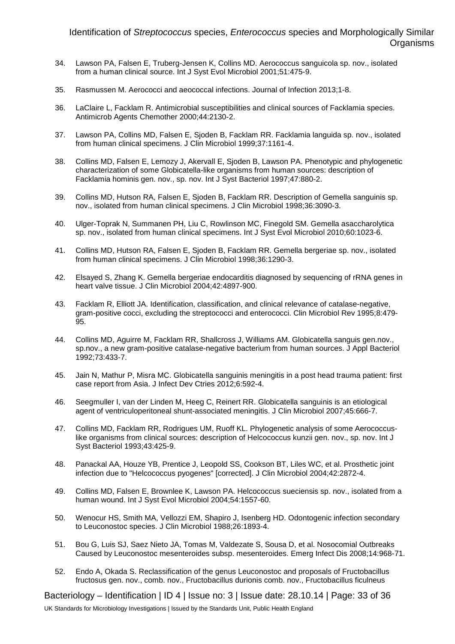- 34. Lawson PA, Falsen E, Truberg-Jensen K, Collins MD. Aerococcus sanguicola sp. nov., isolated from a human clinical source. Int J Syst Evol Microbiol 2001;51:475-9.
- 35. Rasmussen M. Aerococci and aeococcal infections. Journal of Infection 2013;1-8.
- 36. LaClaire L, Facklam R. Antimicrobial susceptibilities and clinical sources of Facklamia species. Antimicrob Agents Chemother 2000;44:2130-2.
- 37. Lawson PA, Collins MD, Falsen E, Sjoden B, Facklam RR. Facklamia languida sp. nov., isolated from human clinical specimens. J Clin Microbiol 1999;37:1161-4.
- 38. Collins MD, Falsen E, Lemozy J, Akervall E, Sjoden B, Lawson PA. Phenotypic and phylogenetic characterization of some Globicatella-like organisms from human sources: description of Facklamia hominis gen. nov., sp. nov. Int J Syst Bacteriol 1997;47:880-2.
- 39. Collins MD, Hutson RA, Falsen E, Sjoden B, Facklam RR. Description of Gemella sanguinis sp. nov., isolated from human clinical specimens. J Clin Microbiol 1998;36:3090-3.
- 40. Ulger-Toprak N, Summanen PH, Liu C, Rowlinson MC, Finegold SM. Gemella asaccharolytica sp. nov., isolated from human clinical specimens. Int J Syst Evol Microbiol 2010;60:1023-6.
- 41. Collins MD, Hutson RA, Falsen E, Sjoden B, Facklam RR. Gemella bergeriae sp. nov., isolated from human clinical specimens. J Clin Microbiol 1998;36:1290-3.
- 42. Elsayed S, Zhang K. Gemella bergeriae endocarditis diagnosed by sequencing of rRNA genes in heart valve tissue. J Clin Microbiol 2004;42:4897-900.
- 43. Facklam R, Elliott JA. Identification, classification, and clinical relevance of catalase-negative, gram-positive cocci, excluding the streptococci and enterococci. Clin Microbiol Rev 1995;8:479- 95.
- 44. Collins MD, Aguirre M, Facklam RR, Shallcross J, Williams AM. Globicatella sanguis gen.nov., sp.nov., a new gram-positive catalase-negative bacterium from human sources. J Appl Bacteriol 1992;73:433-7.
- 45. Jain N, Mathur P, Misra MC. Globicatella sanguinis meningitis in a post head trauma patient: first case report from Asia. J Infect Dev Ctries 2012;6:592-4.
- 46. Seegmuller I, van der Linden M, Heeg C, Reinert RR. Globicatella sanguinis is an etiological agent of ventriculoperitoneal shunt-associated meningitis. J Clin Microbiol 2007;45:666-7.
- 47. Collins MD, Facklam RR, Rodrigues UM, Ruoff KL. Phylogenetic analysis of some Aerococcuslike organisms from clinical sources: description of Helcococcus kunzii gen. nov., sp. nov. Int J Syst Bacteriol 1993;43:425-9.
- 48. Panackal AA, Houze YB, Prentice J, Leopold SS, Cookson BT, Liles WC, et al. Prosthetic joint infection due to "Helcococcus pyogenes" [corrected]. J Clin Microbiol 2004;42:2872-4.
- 49. Collins MD, Falsen E, Brownlee K, Lawson PA. Helcococcus sueciensis sp. nov., isolated from a human wound. Int J Syst Evol Microbiol 2004;54:1557-60.
- 50. Wenocur HS, Smith MA, Vellozzi EM, Shapiro J, Isenberg HD. Odontogenic infection secondary to Leuconostoc species. J Clin Microbiol 1988;26:1893-4.
- 51. Bou G, Luis SJ, Saez Nieto JA, Tomas M, Valdezate S, Sousa D, et al. Nosocomial Outbreaks Caused by Leuconostoc mesenteroides subsp. mesenteroides. Emerg Infect Dis 2008;14:968-71.
- 52. Endo A, Okada S. Reclassification of the genus Leuconostoc and proposals of Fructobacillus fructosus gen. nov., comb. nov., Fructobacillus durionis comb. nov., Fructobacillus ficulneus

Bacteriology – Identification | ID 4 | Issue no: 3 | Issue date: 28.10.14 | Page: 33 of 36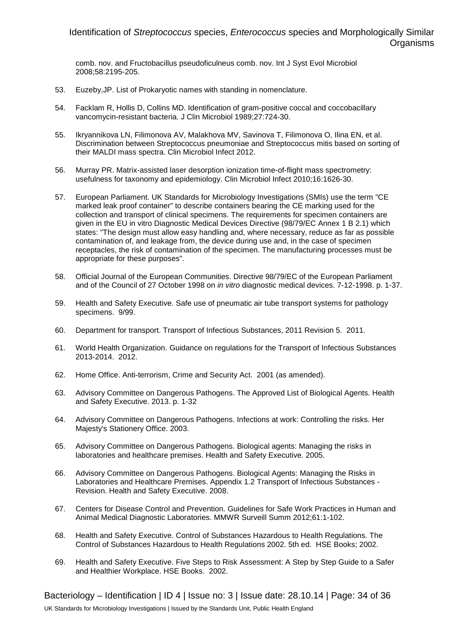comb. nov. and Fructobacillus pseudoficulneus comb. nov. Int J Syst Evol Microbiol 2008;58:2195-205.

- 53. Euzeby,JP. List of Prokaryotic names with standing in nomenclature.
- 54. Facklam R, Hollis D, Collins MD. Identification of gram-positive coccal and coccobacillary vancomycin-resistant bacteria. J Clin Microbiol 1989;27:724-30.
- 55. Ikryannikova LN, Filimonova AV, Malakhova MV, Savinova T, Filimonova O, Ilina EN, et al. Discrimination between Streptococcus pneumoniae and Streptococcus mitis based on sorting of their MALDI mass spectra. Clin Microbiol Infect 2012.
- 56. Murray PR. Matrix-assisted laser desorption ionization time-of-flight mass spectrometry: usefulness for taxonomy and epidemiology. Clin Microbiol Infect 2010;16:1626-30.
- 57. European Parliament. UK Standards for Microbiology Investigations (SMIs) use the term "CE marked leak proof container" to describe containers bearing the CE marking used for the collection and transport of clinical specimens. The requirements for specimen containers are given in the EU in vitro Diagnostic Medical Devices Directive (98/79/EC Annex 1 B 2.1) which states: "The design must allow easy handling and, where necessary, reduce as far as possible contamination of, and leakage from, the device during use and, in the case of specimen receptacles, the risk of contamination of the specimen. The manufacturing processes must be appropriate for these purposes".
- 58. Official Journal of the European Communities. Directive 98/79/EC of the European Parliament and of the Council of 27 October 1998 on *in vitro* diagnostic medical devices. 7-12-1998. p. 1-37.
- 59. Health and Safety Executive. Safe use of pneumatic air tube transport systems for pathology specimens. 9/99.
- 60. Department for transport. Transport of Infectious Substances, 2011 Revision 5. 2011.
- 61. World Health Organization. Guidance on regulations for the Transport of Infectious Substances 2013-2014. 2012.
- 62. Home Office. Anti-terrorism, Crime and Security Act. 2001 (as amended).
- 63. Advisory Committee on Dangerous Pathogens. The Approved List of Biological Agents. Health and Safety Executive. 2013. p. 1-32
- 64. Advisory Committee on Dangerous Pathogens. Infections at work: Controlling the risks. Her Majesty's Stationery Office. 2003.
- 65. Advisory Committee on Dangerous Pathogens. Biological agents: Managing the risks in laboratories and healthcare premises. Health and Safety Executive. 2005.
- 66. Advisory Committee on Dangerous Pathogens. Biological Agents: Managing the Risks in Laboratories and Healthcare Premises. Appendix 1.2 Transport of Infectious Substances - Revision. Health and Safety Executive. 2008.
- 67. Centers for Disease Control and Prevention. Guidelines for Safe Work Practices in Human and Animal Medical Diagnostic Laboratories. MMWR Surveill Summ 2012;61:1-102.
- 68. Health and Safety Executive. Control of Substances Hazardous to Health Regulations. The Control of Substances Hazardous to Health Regulations 2002. 5th ed. HSE Books; 2002.
- 69. Health and Safety Executive. Five Steps to Risk Assessment: A Step by Step Guide to a Safer and Healthier Workplace. HSE Books. 2002.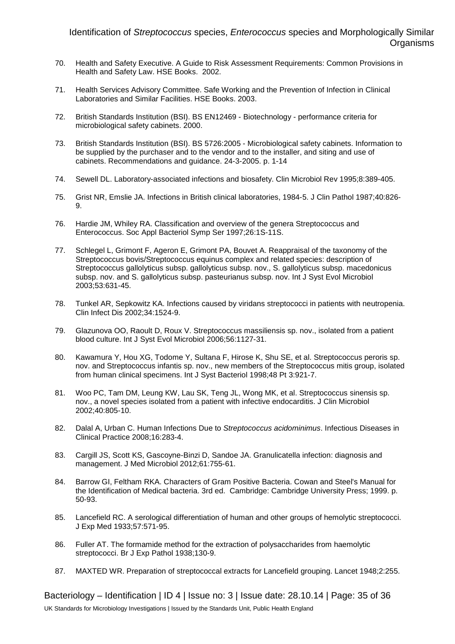- 70. Health and Safety Executive. A Guide to Risk Assessment Requirements: Common Provisions in Health and Safety Law. HSE Books. 2002.
- 71. Health Services Advisory Committee. Safe Working and the Prevention of Infection in Clinical Laboratories and Similar Facilities. HSE Books. 2003.
- 72. British Standards Institution (BSI). BS EN12469 Biotechnology performance criteria for microbiological safety cabinets. 2000.
- 73. British Standards Institution (BSI). BS 5726:2005 Microbiological safety cabinets. Information to be supplied by the purchaser and to the vendor and to the installer, and siting and use of cabinets. Recommendations and guidance. 24-3-2005. p. 1-14
- 74. Sewell DL. Laboratory-associated infections and biosafety. Clin Microbiol Rev 1995;8:389-405.
- 75. Grist NR, Emslie JA. Infections in British clinical laboratories, 1984-5. J Clin Pathol 1987;40:826- 9.
- 76. Hardie JM, Whiley RA. Classification and overview of the genera Streptococcus and Enterococcus. Soc Appl Bacteriol Symp Ser 1997;26:1S-11S.
- 77. Schlegel L, Grimont F, Ageron E, Grimont PA, Bouvet A. Reappraisal of the taxonomy of the Streptococcus bovis/Streptococcus equinus complex and related species: description of Streptococcus gallolyticus subsp. gallolyticus subsp. nov., S. gallolyticus subsp. macedonicus subsp. nov. and S. gallolyticus subsp. pasteurianus subsp. nov. Int J Syst Evol Microbiol 2003;53:631-45.
- 78. Tunkel AR, Sepkowitz KA. Infections caused by viridans streptococci in patients with neutropenia. Clin Infect Dis 2002;34:1524-9.
- 79. Glazunova OO, Raoult D, Roux V. Streptococcus massiliensis sp. nov., isolated from a patient blood culture. Int J Syst Evol Microbiol 2006;56:1127-31.
- 80. Kawamura Y, Hou XG, Todome Y, Sultana F, Hirose K, Shu SE, et al. Streptococcus peroris sp. nov. and Streptococcus infantis sp. nov., new members of the Streptococcus mitis group, isolated from human clinical specimens. Int J Syst Bacteriol 1998;48 Pt 3:921-7.
- 81. Woo PC, Tam DM, Leung KW, Lau SK, Teng JL, Wong MK, et al. Streptococcus sinensis sp. nov., a novel species isolated from a patient with infective endocarditis. J Clin Microbiol 2002;40:805-10.
- 82. Dalal A, Urban C. Human Infections Due to *Streptococcus acidominimus*. Infectious Diseases in Clinical Practice 2008;16:283-4.
- 83. Cargill JS, Scott KS, Gascoyne-Binzi D, Sandoe JA. Granulicatella infection: diagnosis and management. J Med Microbiol 2012;61:755-61.
- 84. Barrow GI, Feltham RKA. Characters of Gram Positive Bacteria. Cowan and Steel's Manual for the Identification of Medical bacteria. 3rd ed. Cambridge: Cambridge University Press; 1999. p. 50-93.
- 85. Lancefield RC. A serological differentiation of human and other groups of hemolytic streptococci. J Exp Med 1933;57:571-95.
- 86. Fuller AT. The formamide method for the extraction of polysaccharides from haemolytic streptococci. Br J Exp Pathol 1938;130-9.
- 87. MAXTED WR. Preparation of streptococcal extracts for Lancefield grouping. Lancet 1948;2:255.

Bacteriology – Identification | ID 4 | Issue no: 3 | Issue date: 28.10.14 | Page: 35 of 36 UK Standards for Microbiology Investigations | Issued by the Standards Unit, Public Health England